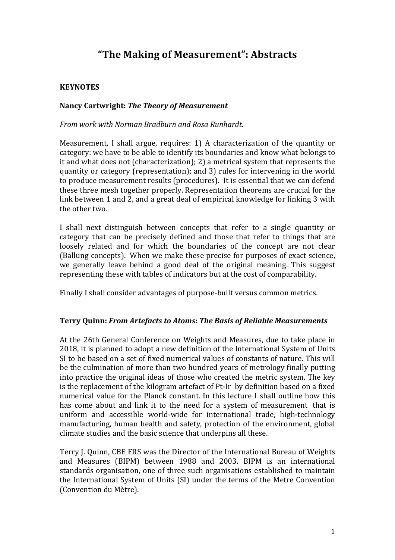# **"The Making of Measurement": Abstracts**

# **KEYNOTES**

### **Nancy Cartwright:** *The Theory of Measurement*

*From work with Norman Bradburn and Rosa Runhardt.*

Measurement, I shall argue, requires: 1) A characterization of the quantity or category: we have to be able to identify its boundaries and know what belongs to it and what does not (characterization); 2) a metrical system that represents the quantity or category (representation); and 3) rules for intervening in the world to produce measurement results (procedures). It is essential that we can defend these three mesh together properly. Representation theorems are crucial for the link between 1 and 2, and a great deal of empirical knowledge for linking 3 with the other two.

I shall next distinguish between concepts that refer to a single quantity or category that can be precisely defined and those that refer to things that are loosely related and for which the boundaries of the concept are not clear (Ballung concepts). When we make these precise for purposes of exact science, we generally leave behind a good deal of the original meaning. This suggest representing these with tables of indicators but at the cost of comparability.

Finally I shall consider advantages of purpose-built versus common metrics.

### **Terry Quinn:** *From Artefacts to Atoms: The Basis of Reliable Measurements*

At the 26th General Conference on Weights and Measures, due to take place in 2018, it is planned to adopt a new definition of the International System of Units SI to be based on a set of fixed numerical values of constants of nature. This will be the culmination of more than two hundred years of metrology finally putting into practice the original ideas of those who created the metric system. The key is the replacement of the kilogram artefact of Pt-Ir by definition based on a fixed numerical value for the Planck constant. In this lecture I shall outline how this has come about and link it to the need for a system of measurement that is uniform and accessible world-wide for international trade, high-technology manufacturing, human health and safety, protection of the environment, global climate studies and the basic science that underpins all these.

Terry J. Quinn, CBE FRS was the Director of the International Bureau of Weights and Measures (BIPM) between 1988 and 2003. BIPM is an international standards organisation, one of three such organisations established to maintain the International System of Units (SI) under the terms of the Metre Convention (Convention du Mètre).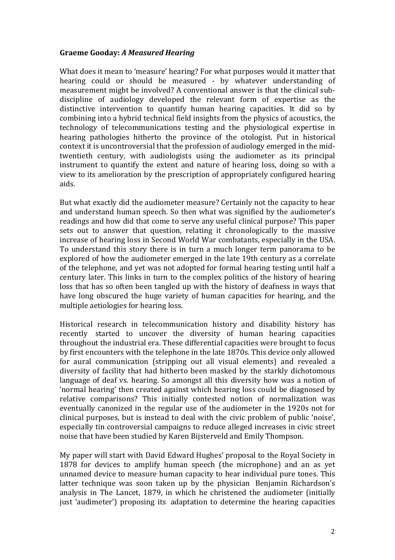## **Graeme Gooday:** *A Measured Hearing*

What does it mean to 'measure' hearing? For what purposes would it matter that hearing could or should be measured - by whatever understanding of measurement might be involved? A conventional answer is that the clinical subdiscipline of audiology developed the relevant form of expertise as the distinctive intervention to quantify human hearing capacities. It did so by combining into a hybrid technical field insights from the physics of acoustics, the technology of telecommunications testing and the physiological expertise in hearing pathologies hitherto the province of the otologist. Put in historical context it is uncontroversial that the profession of audiology emerged in the midtwentieth century, with audiologists using the audiometer as its principal instrument to quantify the extent and nature of hearing loss, doing so with a view to its amelioration by the prescription of appropriately configured hearing aids.

But what exactly did the audiometer measure? Certainly not the capacity to hear and understand human speech. So then what was signified by the audiometer's readings and how did that come to serve any useful clinical purpose? This paper sets out to answer that question, relating it chronologically to the massive increase of hearing loss in Second World War combatants, especially in the USA. To understand this story there is in turn a much longer term panorama to be explored of how the audiometer emerged in the late 19th century as a correlate of the telephone, and yet was not adopted for formal hearing testing until half a century later. This links in turn to the complex politics of the history of hearing loss that has so often been tangled up with the history of deafness in ways that have long obscured the huge variety of human capacities for hearing, and the multiple aetiologies for hearing loss.

Historical research in telecommunication history and disability history has recently started to uncover the diversity of human hearing capacities throughout the industrial era. These differential capacities were brought to focus by first encounters with the telephone in the late 1870s. This device only allowed for aural communication (stripping out all visual elements) and revealed a diversity of facility that had hitherto been masked by the starkly dichotomous language of deaf vs. hearing. So amongst all this diversity how was a notion of 'normal hearing' then created against which hearing loss could be diagnosed by relative comparisons? This initially contested notion of normalization was eventually canonized in the regular use of the audiometer in the 1920s not for clinical purposes, but is instead to deal with the civic problem of public 'noise', especially tin controversial campaigns to reduce alleged increases in civic street noise that have been studied by Karen Bijsterveld and Emily Thompson.

My paper will start with David Edward Hughes' proposal to the Royal Society in 1878 for devices to amplify human speech (the microphone) and an as yet unnamed device to measure human capacity to hear individual pure tones. This latter technique was soon taken up by the physician Benjamin Richardson's analysis in The Lancet, 1879, in which he christened the audiometer (initially just 'audimeter') proposing its adaptation to determine the hearing capacities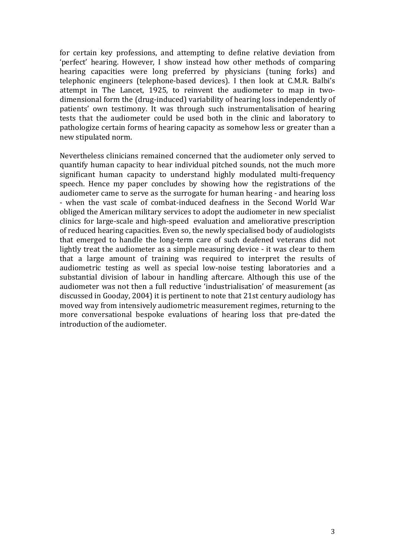for certain key professions, and attempting to define relative deviation from 'perfect' hearing. However, I show instead how other methods of comparing hearing capacities were long preferred by physicians (tuning forks) and telephonic engineers (telephone-based devices). I then look at C.M.R. Balbi's attempt in The Lancet, 1925, to reinvent the audiometer to map in twodimensional form the (drug-induced) variability of hearing loss independently of patients' own testimony. It was through such instrumentalisation of hearing tests that the audiometer could be used both in the clinic and laboratory to pathologize certain forms of hearing capacity as somehow less or greater than a new stipulated norm.

Nevertheless clinicians remained concerned that the audiometer only served to quantify human capacity to hear individual pitched sounds, not the much more significant human capacity to understand highly modulated multi-frequency speech. Hence my paper concludes by showing how the registrations of the audiometer came to serve as the surrogate for human hearing - and hearing loss - when the vast scale of combat-induced deafness in the Second World War obliged the American military services to adopt the audiometer in new specialist clinics for large-scale and high-speed evaluation and ameliorative prescription of reduced hearing capacities. Even so, the newly specialised body of audiologists that emerged to handle the long-term care of such deafened veterans did not lightly treat the audiometer as a simple measuring device - it was clear to them that a large amount of training was required to interpret the results of audiometric testing as well as special low-noise testing laboratories and a substantial division of labour in handling aftercare. Although this use of the audiometer was not then a full reductive 'industrialisation' of measurement (as discussed in Gooday, 2004) it is pertinent to note that 21st century audiology has moved way from intensively audiometric measurement regimes, returning to the more conversational bespoke evaluations of hearing loss that pre-dated the introduction of the audiometer.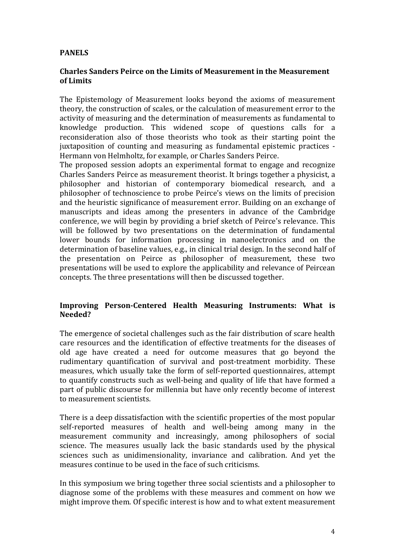# **PANELS**

### **Charles Sanders Peirce on the Limits of Measurement in the Measurement of Limits**

The Epistemology of Measurement looks beyond the axioms of measurement theory, the construction of scales, or the calculation of measurement error to the activity of measuring and the determination of measurements as fundamental to knowledge production. This widened scope of questions calls for a reconsideration also of those theorists who took as their starting point the juxtaposition of counting and measuring as fundamental epistemic practices -Hermann von Helmholtz, for example, or Charles Sanders Peirce.

The proposed session adopts an experimental format to engage and recognize Charles Sanders Peirce as measurement theorist. It brings together a physicist, a philosopher and historian of contemporary biomedical research, and a philosopher of technoscience to probe Peirce's views on the limits of precision and the heuristic significance of measurement error. Building on an exchange of manuscripts and ideas among the presenters in advance of the Cambridge conference, we will begin by providing a brief sketch of Peirce's relevance. This will be followed by two presentations on the determination of fundamental lower bounds for information processing in nanoelectronics and on the determination of baseline values, e.g., in clinical trial design. In the second half of the presentation on Peirce as philosopher of measurement, these two presentations will be used to explore the applicability and relevance of Peircean concepts. The three presentations will then be discussed together.

### **Improving Person-Centered Health Measuring Instruments: What is Needed?**

The emergence of societal challenges such as the fair distribution of scare health care resources and the identification of effective treatments for the diseases of old age have created a need for outcome measures that go beyond the rudimentary quantification of survival and post-treatment morbidity. These measures, which usually take the form of self-reported questionnaires, attempt to quantify constructs such as well-being and quality of life that have formed a part of public discourse for millennia but have only recently become of interest to measurement scientists.

There is a deep dissatisfaction with the scientific properties of the most popular self-reported measures of health and well-being among many in the measurement community and increasingly, among philosophers of social science. The measures usually lack the basic standards used by the physical sciences such as unidimensionality, invariance and calibration. And yet the measures continue to be used in the face of such criticisms.

In this symposium we bring together three social scientists and a philosopher to diagnose some of the problems with these measures and comment on how we might improve them. Of specific interest is how and to what extent measurement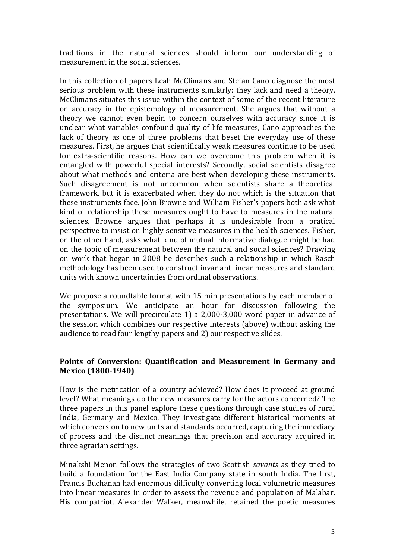traditions in the natural sciences should inform our understanding of measurement in the social sciences.

In this collection of papers Leah McClimans and Stefan Cano diagnose the most serious problem with these instruments similarly: they lack and need a theory. McClimans situates this issue within the context of some of the recent literature on accuracy in the epistemology of measurement. She argues that without a theory we cannot even begin to concern ourselves with accuracy since it is unclear what variables confound quality of life measures, Cano approaches the lack of theory as one of three problems that beset the everyday use of these measures. First, he argues that scientifically weak measures continue to be used for extra-scientific reasons. How can we overcome this problem when it is entangled with powerful special interests? Secondly, social scientists disagree about what methods and criteria are best when developing these instruments. Such disagreement is not uncommon when scientists share a theoretical framework, but it is exacerbated when they do not which is the situation that these instruments face. John Browne and William Fisher's papers both ask what kind of relationship these measures ought to have to measures in the natural sciences. Browne argues that perhaps it is undesirable from a pratical perspective to insist on highly sensitive measures in the health sciences. Fisher, on the other hand, asks what kind of mutual informative dialogue might be had on the topic of measurement between the natural and social sciences? Drawing on work that began in 2008 he describes such a relationship in which Rasch methodology has been used to construct invariant linear measures and standard units with known uncertainties from ordinal observations.

We propose a roundtable format with 15 min presentations by each member of the symposium. We anticipate an hour for discussion following the presentations. We will precirculate 1) a  $2,000-3,000$  word paper in advance of the session which combines our respective interests (above) without asking the audience to read four lengthy papers and 2) our respective slides.

### Points of Conversion: Quantification and Measurement in Germany and **Mexico (1800-1940)**

How is the metrication of a country achieved? How does it proceed at ground level? What meanings do the new measures carry for the actors concerned? The three papers in this panel explore these questions through case studies of rural India, Germany and Mexico. They investigate different historical moments at which conversion to new units and standards occurred, capturing the immediacy of process and the distinct meanings that precision and accuracy acquired in three agrarian settings.

Minakshi Menon follows the strategies of two Scottish *savants* as they tried to build a foundation for the East India Company state in south India. The first, Francis Buchanan had enormous difficulty converting local volumetric measures into linear measures in order to assess the revenue and population of Malabar. His compatriot, Alexander Walker, meanwhile, retained the poetic measures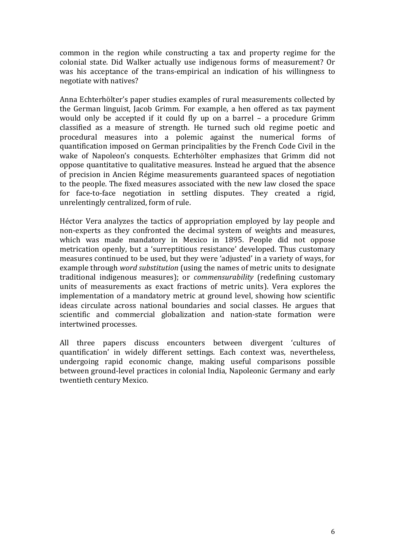common in the region while constructing a tax and property regime for the colonial state. Did Walker actually use indigenous forms of measurement? Or was his acceptance of the trans-empirical an indication of his willingness to negotiate with natives?

Anna Echterhölter's paper studies examples of rural measurements collected by the German linguist, Jacob Grimm. For example, a hen offered as tax payment would only be accepted if it could fly up on a barrel  $-$  a procedure Grimm classified as a measure of strength. He turned such old regime poetic and procedural measures into a polemic against the numerical forms of quantification imposed on German principalities by the French Code Civil in the wake of Napoleon's conquests. Echterhölter emphasizes that Grimm did not oppose quantitative to qualitative measures. Instead he argued that the absence of precision in Ancien Régime measurements guaranteed spaces of negotiation to the people. The fixed measures associated with the new law closed the space for face-to-face negotiation in settling disputes. They created a rigid, unrelentingly centralized, form of rule.

Héctor Vera analyzes the tactics of appropriation employed by lay people and non-experts as they confronted the decimal system of weights and measures, which was made mandatory in Mexico in 1895. People did not oppose metrication openly, but a 'surreptitious resistance' developed. Thus customary measures continued to be used, but they were 'adjusted' in a variety of ways, for example through *word substitution* (using the names of metric units to designate traditional indigenous measures); or *commensurability* (redefining customary units of measurements as exact fractions of metric units). Vera explores the implementation of a mandatory metric at ground level, showing how scientific ideas circulate across national boundaries and social classes. He argues that scientific and commercial globalization and nation-state formation were intertwined processes.

All three papers discuss encounters between divergent 'cultures of quantification' in widely different settings. Each context was, nevertheless, undergoing rapid economic change, making useful comparisons possible between ground-level practices in colonial India, Napoleonic Germany and early twentieth century Mexico.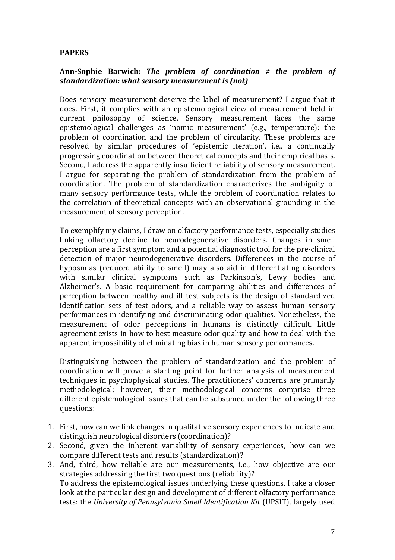### **PAPERS**

### Ann-Sophie Barwich: *The problem of coordination*  $\neq$  *the problem of standardization:* what sensory measurement is (not)

Does sensory measurement deserve the label of measurement? I argue that it does. First, it complies with an epistemological view of measurement held in current philosophy of science. Sensory measurement faces the same epistemological challenges as 'nomic measurement' (e.g., temperature): the problem of coordination and the problem of circularity. These problems are resolved by similar procedures of 'epistemic iteration', i.e., a continually progressing coordination between theoretical concepts and their empirical basis. Second, I address the apparently insufficient reliability of sensory measurement. I argue for separating the problem of standardization from the problem of coordination. The problem of standardization characterizes the ambiguity of many sensory performance tests, while the problem of coordination relates to the correlation of theoretical concepts with an observational grounding in the measurement of sensory perception.

To exemplify my claims, I draw on olfactory performance tests, especially studies linking olfactory decline to neurodegenerative disorders. Changes in smell perception are a first symptom and a potential diagnostic tool for the pre-clinical detection of major neurodegenerative disorders. Differences in the course of hyposmias (reduced ability to smell) may also aid in differentiating disorders with similar clinical symptoms such as Parkinson's, Lewy bodies and Alzheimer's. A basic requirement for comparing abilities and differences of perception between healthy and ill test subjects is the design of standardized identification sets of test odors, and a reliable way to assess human sensory performances in identifying and discriminating odor qualities. Nonetheless, the measurement of odor perceptions in humans is distinctly difficult. Little agreement exists in how to best measure odor quality and how to deal with the apparent impossibility of eliminating bias in human sensory performances.

Distinguishing between the problem of standardization and the problem of coordination will prove a starting point for further analysis of measurement techniques in psychophysical studies. The practitioners' concerns are primarily methodological; however, their methodological concerns comprise three different epistemological issues that can be subsumed under the following three questions: 

- 1. First, how can we link changes in qualitative sensory experiences to indicate and distinguish neurological disorders (coordination)?
- 2. Second, given the inherent variability of sensory experiences, how can we compare different tests and results (standardization)?
- 3. And, third, how reliable are our measurements, i.e., how objective are our strategies addressing the first two questions (reliability)? To address the epistemological issues underlying these questions, I take a closer look at the particular design and development of different olfactory performance tests: the *University of Pennsylvania Smell Identification Kit* (UPSIT), largely used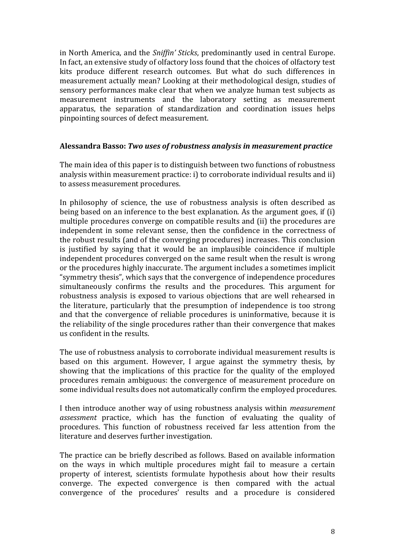in North America, and the *Sniffin' Sticks*, predominantly used in central Europe. In fact, an extensive study of olfactory loss found that the choices of olfactory test kits produce different research outcomes. But what do such differences in measurement actually mean? Looking at their methodological design, studies of sensory performances make clear that when we analyze human test subjects as measurement instruments and the laboratory setting as measurement apparatus, the separation of standardization and coordination issues helps pinpointing sources of defect measurement.

### **Alessandra Basso:** *Two uses of robustness analysis in measurement practice*

The main idea of this paper is to distinguish between two functions of robustness analysis within measurement practice: i) to corroborate individual results and ii) to assess measurement procedures.

In philosophy of science, the use of robustness analysis is often described as being based on an inference to the best explanation. As the argument goes, if (i) multiple procedures converge on compatible results and (ii) the procedures are independent in some relevant sense, then the confidence in the correctness of the robust results (and of the converging procedures) increases. This conclusion is justified by saying that it would be an implausible coincidence if multiple independent procedures converged on the same result when the result is wrong or the procedures highly inaccurate. The argument includes a sometimes implicit "symmetry thesis", which says that the convergence of independence procedures simultaneously confirms the results and the procedures. This argument for robustness analysis is exposed to various objections that are well rehearsed in the literature, particularly that the presumption of independence is too strong and that the convergence of reliable procedures is uninformative, because it is the reliability of the single procedures rather than their convergence that makes us confident in the results.

The use of robustness analysis to corroborate individual measurement results is based on this argument. However, I argue against the symmetry thesis, by showing that the implications of this practice for the quality of the employed procedures remain ambiguous: the convergence of measurement procedure on some individual results does not automatically confirm the employed procedures.

I then introduce another way of using robustness analysis within *measurement assessment* practice, which has the function of evaluating the quality of procedures. This function of robustness received far less attention from the literature and deserves further investigation.

The practice can be briefly described as follows. Based on available information on the ways in which multiple procedures might fail to measure a certain property of interest, scientists formulate hypothesis about how their results converge. The expected convergence is then compared with the actual convergence of the procedures' results and a procedure is considered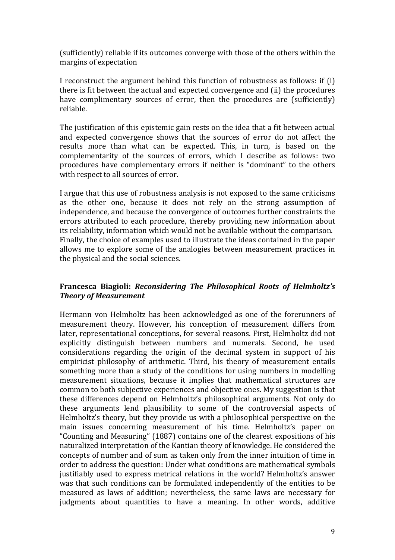(sufficiently) reliable if its outcomes converge with those of the others within the margins of expectation

I reconstruct the argument behind this function of robustness as follows: if  $(i)$ there is fit between the actual and expected convergence and (ii) the procedures have complimentary sources of error, then the procedures are (sufficiently) reliable.

The justification of this epistemic gain rests on the idea that a fit between actual and expected convergence shows that the sources of error do not affect the results more than what can be expected. This, in turn, is based on the complementarity of the sources of errors, which I describe as follows: two procedures have complementary errors if neither is "dominant" to the others with respect to all sources of error.

I argue that this use of robustness analysis is not exposed to the same criticisms as the other one, because it does not rely on the strong assumption of independence, and because the convergence of outcomes further constraints the errors attributed to each procedure, thereby providing new information about its reliability, information which would not be available without the comparison. Finally, the choice of examples used to illustrate the ideas contained in the paper allows me to explore some of the analogies between measurement practices in the physical and the social sciences.

# Francesca Biagioli: *Reconsidering The Philosophical Roots of Helmholtz's Theory of Measurement*

Hermann von Helmholtz has been acknowledged as one of the forerunners of measurement theory. However, his conception of measurement differs from later, representational conceptions, for several reasons. First, Helmholtz did not explicitly distinguish between numbers and numerals. Second, he used considerations regarding the origin of the decimal system in support of his empiricist philosophy of arithmetic. Third, his theory of measurement entails something more than a study of the conditions for using numbers in modelling measurement situations, because it implies that mathematical structures are common to both subjective experiences and objective ones. My suggestion is that these differences depend on Helmholtz's philosophical arguments. Not only do these arguments lend plausibility to some of the controversial aspects of Helmholtz's theory, but they provide us with a philosophical perspective on the main issues concerning measurement of his time. Helmholtz's paper on "Counting and Measuring" (1887) contains one of the clearest expositions of his naturalized interpretation of the Kantian theory of knowledge. He considered the concepts of number and of sum as taken only from the inner intuition of time in order to address the question: Under what conditions are mathematical symbols justifiably used to express metrical relations in the world? Helmholtz's answer was that such conditions can be formulated independently of the entities to be measured as laws of addition; nevertheless, the same laws are necessary for judgments about quantities to have a meaning. In other words, additive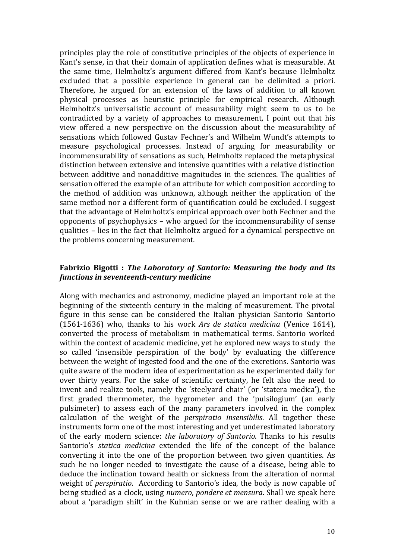principles play the role of constitutive principles of the objects of experience in Kant's sense, in that their domain of application defines what is measurable. At the same time, Helmholtz's argument differed from Kant's because Helmholtz excluded that a possible experience in general can be delimited a priori. Therefore, he argued for an extension of the laws of addition to all known physical processes as heuristic principle for empirical research. Although Helmholtz's universalistic account of measurability might seem to us to be contradicted by a variety of approaches to measurement, I point out that his view offered a new perspective on the discussion about the measurability of sensations which followed Gustav Fechner's and Wilhelm Wundt's attempts to measure psychological processes. Instead of arguing for measurability or incommensurability of sensations as such, Helmholtz replaced the metaphysical distinction between extensive and intensive quantities with a relative distinction between additive and nonadditive magnitudes in the sciences. The qualities of sensation offered the example of an attribute for which composition according to the method of addition was unknown, although neither the application of the same method nor a different form of quantification could be excluded. I suggest that the advantage of Helmholtz's empirical approach over both Fechner and the opponents of psychophysics  $-$  who argued for the incommensurability of sense qualities – lies in the fact that Helmholtz argued for a dynamical perspective on the problems concerning measurement.

### **Fabrizio Bigotti : The Laboratory of Santorio: Measuring the body and its** *functions in seventeenth-century medicine*

Along with mechanics and astronomy, medicine played an important role at the beginning of the sixteenth century in the making of measurement. The pivotal figure in this sense can be considered the Italian physician Santorio Santorio (1561-1636) who, thanks to his work *Ars de statica medicina* (Venice 1614), converted the process of metabolism in mathematical terms. Santorio worked within the context of academic medicine, yet he explored new ways to study the so called 'insensible perspiration of the body' by evaluating the difference between the weight of ingested food and the one of the excretions. Santorio was quite aware of the modern idea of experimentation as he experimented daily for over thirty years. For the sake of scientific certainty, he felt also the need to invent and realize tools, namely the 'steelvard chair' (or 'statera medica'), the first graded thermometer, the hygrometer and the 'pulsilogium' (an early pulsimeter) to assess each of the many parameters involved in the complex calculation of the weight of the *perspiratio insensibilis*. All together these instruments form one of the most interesting and vet underestimated laboratory of the early modern science: *the laboratory of Santorio*. Thanks to his results Santorio's *statica medicina* extended the life of the concept of the balance converting it into the one of the proportion between two given quantities. As such he no longer needed to investigate the cause of a disease, being able to deduce the inclination toward health or sickness from the alteration of normal weight of *perspiratio*. According to Santorio's idea, the body is now capable of being studied as a clock, using *numero*, *pondere et mensura*. Shall we speak here about a 'paradigm shift' in the Kuhnian sense or we are rather dealing with a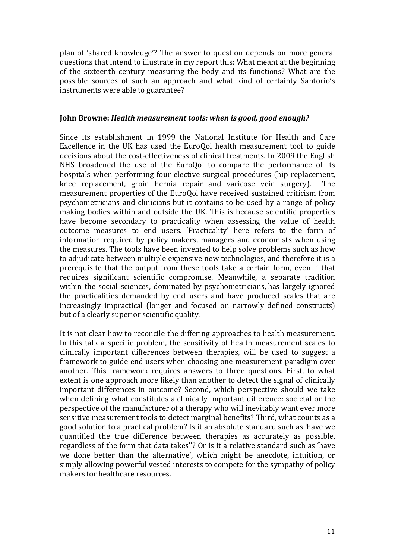plan of 'shared knowledge'? The answer to question depends on more general questions that intend to illustrate in my report this: What meant at the beginning of the sixteenth century measuring the body and its functions? What are the possible sources of such an approach and what kind of certainty Santorio's instruments were able to guarantee?

### **John Browne: Health measurement tools: when is good, good enough?**

Since its establishment in 1999 the National Institute for Health and Care Excellence in the UK has used the EuroQol health measurement tool to guide decisions about the cost-effectiveness of clinical treatments. In 2009 the English NHS broadened the use of the EuroQol to compare the performance of its hospitals when performing four elective surgical procedures (hip replacement, knee replacement, groin hernia repair and varicose vein surgery). The measurement properties of the EuroOol have received sustained criticism from psychometricians and clinicians but it contains to be used by a range of policy making bodies within and outside the UK. This is because scientific properties have become secondary to practicality when assessing the value of health outcome measures to end users. 'Practicality' here refers to the form of information required by policy makers, managers and economists when using the measures. The tools have been invented to help solve problems such as how to adjudicate between multiple expensive new technologies, and therefore it is a prerequisite that the output from these tools take a certain form, even if that requires significant scientific compromise. Meanwhile, a separate tradition within the social sciences, dominated by psychometricians, has largely ignored the practicalities demanded by end users and have produced scales that are increasingly impractical (longer and focused on narrowly defined constructs) but of a clearly superior scientific quality.

It is not clear how to reconcile the differing approaches to health measurement. In this talk a specific problem, the sensitivity of health measurement scales to clinically important differences between therapies, will be used to suggest a framework to guide end users when choosing one measurement paradigm over another. This framework requires answers to three questions. First, to what extent is one approach more likely than another to detect the signal of clinically important differences in outcome? Second, which perspective should we take when defining what constitutes a clinically important difference: societal or the perspective of the manufacturer of a therapy who will inevitably want ever more sensitive measurement tools to detect marginal benefits? Third, what counts as a good solution to a practical problem? Is it an absolute standard such as 'have we quantified the true difference between therapies as accurately as possible. regardless of the form that data takes"? Or is it a relative standard such as 'have we done better than the alternative', which might be anecdote, intuition, or simply allowing powerful vested interests to compete for the sympathy of policy makers for healthcare resources.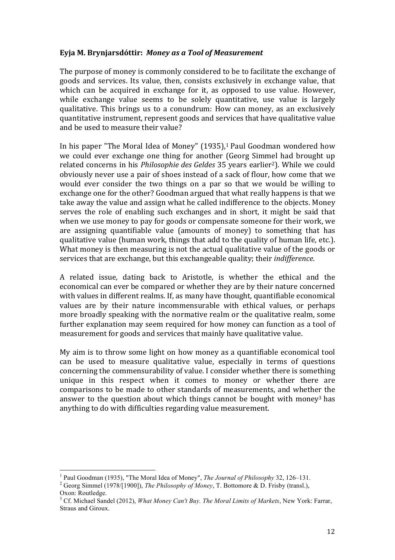## Evja M. Brynjarsdóttir: Money as a Tool of Measurement

The purpose of money is commonly considered to be to facilitate the exchange of goods and services. Its value, then, consists exclusively in exchange value, that which can be acquired in exchange for it, as opposed to use value. However, while exchange value seems to be solely quantitative, use value is largely qualitative. This brings us to a conundrum: How can money, as an exclusively quantitative instrument, represent goods and services that have qualitative value and be used to measure their value?

In his paper "The Moral Idea of Money"  $(1935)$ ,<sup>1</sup> Paul Goodman wondered how we could ever exchange one thing for another (Georg Simmel had brought up related concerns in his *Philosophie des Geldes* 35 years earlier<sup>2</sup>). While we could obviously never use a pair of shoes instead of a sack of flour, how come that we would ever consider the two things on a par so that we would be willing to exchange one for the other? Goodman argued that what really happens is that we take away the value and assign what he called indifference to the objects. Money serves the role of enabling such exchanges and in short, it might be said that when we use money to pay for goods or compensate someone for their work, we are assigning quantifiable value (amounts of money) to something that has qualitative value (human work, things that add to the quality of human life, etc.). What money is then measuring is not the actual qualitative value of the goods or services that are exchange, but this exchangeable quality; their *indifference*.

A related issue, dating back to Aristotle, is whether the ethical and the economical can ever be compared or whether they are by their nature concerned with values in different realms. If, as many have thought, quantifiable economical values are by their nature incommensurable with ethical values, or perhaps more broadly speaking with the normative realm or the qualitative realm, some further explanation may seem required for how money can function as a tool of measurement for goods and services that mainly have qualitative value.

My aim is to throw some light on how money as a quantifiable economical tool can be used to measure qualitative value, especially in terms of questions concerning the commensurability of value. I consider whether there is something unique in this respect when it comes to money or whether there are comparisons to be made to other standards of measurements, and whether the answer to the question about which things cannot be bought with money<sup>3</sup> has anything to do with difficulties regarding value measurement.

<sup>&</sup>lt;sup>1</sup> Paul Goodman (1935), "The Moral Idea of Money", *The Journal of Philosophy* 32, 126–131.<br><sup>2</sup> Georg Simmel (1978/[1900]), *The Philosophy of Money*, T. Bottomore & D. Frisby (transl.),

Oxon: Routledge.

<sup>3</sup> Cf. Michael Sandel (2012), *What Money Can't Buy. The Moral Limits of Markets*, New York: Farrar, Straus and Giroux.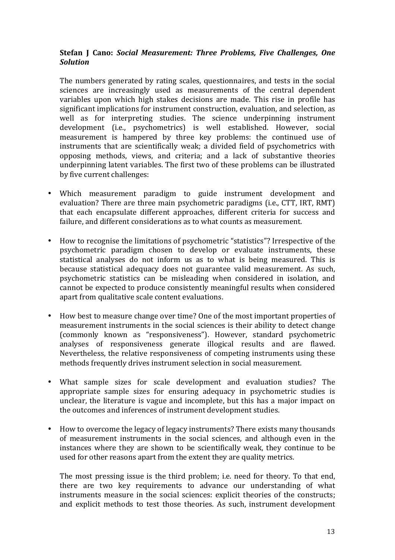# **Stefan J Cano: Social Measurement: Three Problems, Five Challenges, One** *Solution*

The numbers generated by rating scales, questionnaires, and tests in the social sciences are increasingly used as measurements of the central dependent variables upon which high stakes decisions are made. This rise in profile has significant implications for instrument construction, evaluation, and selection, as well as for interpreting studies. The science underpinning instrument development (i.e., psychometrics) is well established. However, social measurement is hampered by three key problems: the continued use of instruments that are scientifically weak; a divided field of psychometrics with opposing methods, views, and criteria; and a lack of substantive theories underpinning latent variables. The first two of these problems can be illustrated by five current challenges:

- Which measurement paradigm to guide instrument development and evaluation? There are three main psychometric paradigms (i.e., CTT, IRT, RMT) that each encapsulate different approaches, different criteria for success and failure, and different considerations as to what counts as measurement.
- How to recognise the limitations of psychometric "statistics"? Irrespective of the psychometric paradigm chosen to develop or evaluate instruments, these statistical analyses do not inform us as to what is being measured. This is because statistical adequacy does not guarantee valid measurement. As such, psychometric statistics can be misleading when considered in isolation, and cannot be expected to produce consistently meaningful results when considered apart from qualitative scale content evaluations.
- How best to measure change over time? One of the most important properties of measurement instruments in the social sciences is their ability to detect change (commonly known as "responsiveness"). However, standard psychometric analyses of responsiveness generate illogical results and are flawed. Nevertheless, the relative responsiveness of competing instruments using these methods frequently drives instrument selection in social measurement.
- What sample sizes for scale development and evaluation studies? The appropriate sample sizes for ensuring adequacy in psychometric studies is unclear, the literature is vague and incomplete, but this has a major impact on the outcomes and inferences of instrument development studies.
- How to overcome the legacy of legacy instruments? There exists many thousands of measurement instruments in the social sciences, and although even in the instances where they are shown to be scientifically weak, they continue to be used for other reasons apart from the extent they are quality metrics.

The most pressing issue is the third problem; i.e. need for theory. To that end, there are two key requirements to advance our understanding of what instruments measure in the social sciences: explicit theories of the constructs; and explicit methods to test those theories. As such, instrument development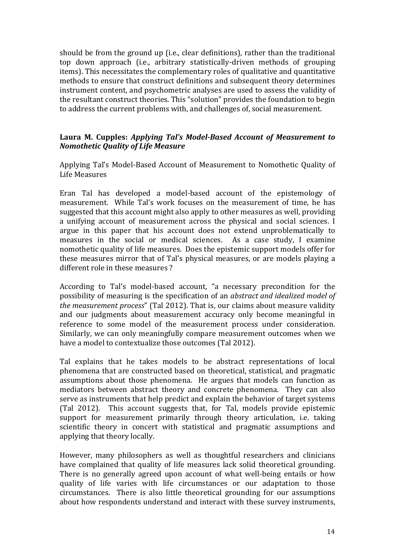should be from the ground up (i.e., clear definitions), rather than the traditional top down approach (i.e., arbitrary statistically-driven methods of grouping items). This necessitates the complementary roles of qualitative and quantitative methods to ensure that construct definitions and subsequent theory determines instrument content, and psychometric analyses are used to assess the validity of the resultant construct theories. This "solution" provides the foundation to begin to address the current problems with, and challenges of, social measurement.

# Laura M. Cupples: *Applying Tal's Model-Based Account of Measurement to Nomothetic Quality of Life Measure*

Applying Tal's Model-Based Account of Measurement to Nomothetic Quality of Life Measures

Eran Tal has developed a model-based account of the epistemology of measurement. While Tal's work focuses on the measurement of time, he has suggested that this account might also apply to other measures as well, providing a unifying account of measurement across the physical and social sciences. I argue in this paper that his account does not extend unproblematically to measures in the social or medical sciences. As a case study, I examine nomothetic quality of life measures. Does the epistemic support models offer for these measures mirror that of Tal's physical measures, or are models playing a different role in these measures?

According to Tal's model-based account, "a necessary precondition for the possibility of measuring is the specification of an *abstract and idealized model of the measurement process*" (Tal 2012). That is, our claims about measure validity and our judgments about measurement accuracy only become meaningful in reference to some model of the measurement process under consideration. Similarly, we can only meaningfully compare measurement outcomes when we have a model to contextualize those outcomes (Tal 2012).

Tal explains that he takes models to be abstract representations of local phenomena that are constructed based on theoretical, statistical, and pragmatic assumptions about those phenomena. He argues that models can function as mediators between abstract theory and concrete phenomena. They can also serve as instruments that help predict and explain the behavior of target systems (Tal 2012). This account suggests that, for Tal, models provide epistemic support for measurement primarily through theory articulation, i.e. taking scientific theory in concert with statistical and pragmatic assumptions and applying that theory locally.

However, many philosophers as well as thoughtful researchers and clinicians have complained that quality of life measures lack solid theoretical grounding. There is no generally agreed upon account of what well-being entails or how quality of life varies with life circumstances or our adaptation to those circumstances. There is also little theoretical grounding for our assumptions about how respondents understand and interact with these survey instruments,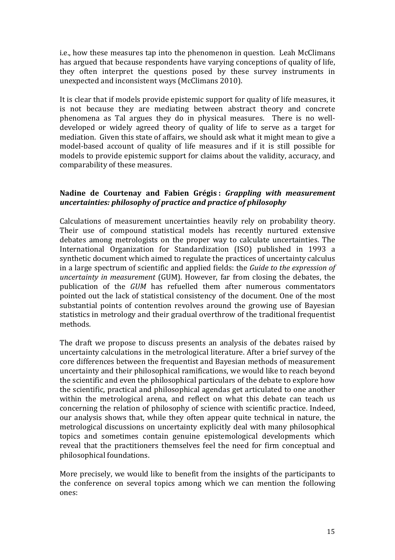i.e., how these measures tap into the phenomenon in question. Leah McClimans has argued that because respondents have varying conceptions of quality of life, they often interpret the questions posed by these survey instruments in unexpected and inconsistent ways (McClimans 2010).

It is clear that if models provide epistemic support for quality of life measures, it is not because they are mediating between abstract theory and concrete phenomena as Tal argues they do in physical measures. There is no welldeveloped or widely agreed theory of quality of life to serve as a target for mediation. Given this state of affairs, we should ask what it might mean to give a model-based account of quality of life measures and if it is still possible for models to provide epistemic support for claims about the validity, accuracy, and comparability of these measures.

### **Nadine de Courtenay and Fabien Grégis :** *Grappling with measurement uncertainties: philosophy of practice and practice of philosophy*

Calculations of measurement uncertainties heavily rely on probability theory. Their use of compound statistical models has recently nurtured extensive debates among metrologists on the proper way to calculate uncertainties. The International Organization for Standardization (ISO) published in 1993 a synthetic document which aimed to regulate the practices of uncertainty calculus in a large spectrum of scientific and applied fields: the *Guide to the expression of uncertainty in measurement* (GUM). However, far from closing the debates, the publication of the *GUM* has refuelled them after numerous commentators pointed out the lack of statistical consistency of the document. One of the most substantial points of contention revolves around the growing use of Bayesian statistics in metrology and their gradual overthrow of the traditional frequentist methods.

The draft we propose to discuss presents an analysis of the debates raised by uncertainty calculations in the metrological literature. After a brief survey of the core differences between the frequentist and Bayesian methods of measurement uncertainty and their philosophical ramifications, we would like to reach beyond the scientific and even the philosophical particulars of the debate to explore how the scientific, practical and philosophical agendas get articulated to one another within the metrological arena, and reflect on what this debate can teach us concerning the relation of philosophy of science with scientific practice. Indeed, our analysis shows that, while they often appear quite technical in nature, the metrological discussions on uncertainty explicitly deal with many philosophical topics and sometimes contain genuine epistemological developments which reveal that the practitioners themselves feel the need for firm conceptual and philosophical foundations.

More precisely, we would like to benefit from the insights of the participants to the conference on several topics among which we can mention the following ones: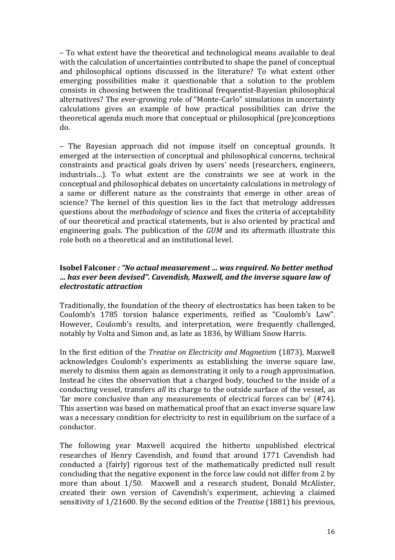– To what extent have the theoretical and technological means available to deal with the calculation of uncertainties contributed to shape the panel of conceptual and philosophical options discussed in the literature? To what extent other emerging possibilities make it questionable that a solution to the problem consists in choosing between the traditional frequentist-Bayesian philosophical alternatives? The ever-growing role of "Monte-Carlo" simulations in uncertainty calculations gives an example of how practical possibilities can drive the theoretical agenda much more that conceptual or philosophical (pre)conceptions do.

– The Bayesian approach did not impose itself on conceptual grounds. It emerged at the intersection of conceptual and philosophical concerns, technical constraints and practical goals driven by users' needs (researchers, engineers, industrials...). To what extent are the constraints we see at work in the conceptual and philosophical debates on uncertainty calculations in metrology of a same or different nature as the constraints that emerge in other areas of science? The kernel of this question lies in the fact that metrology addresses questions about the *methodology* of science and fixes the criteria of acceptability of our theoretical and practical statements, but is also oriented by practical and engineering goals. The publication of the *GUM* and its aftermath illustrate this role both on a theoretical and an institutional level.

## **Isobel Falconer** *: "No actual measurement ... was required. No better method … has ever been devised". Cavendish, Maxwell, and the inverse square law of electrostatic attraction*

Traditionally, the foundation of the theory of electrostatics has been taken to be Coulomb's 1785 torsion balance experiments, reified as "Coulomb's Law". However, Coulomb's results, and interpretation, were frequently challenged, notably by Volta and Simon and, as late as 1836, by William Snow Harris.

In the first edition of the *Treatise* on *Electricity* and *Magnetism* (1873), Maxwell acknowledges Coulomb's experiments as establishing the inverse square law, merely to dismiss them again as demonstrating it only to a rough approximation. Instead he cites the observation that a charged body, touched to the inside of a conducting vessel, transfers *all* its charge to the outside surface of the vessel, as 'far more conclusive than any measurements of electrical forces can be'  $(H74)$ . This assertion was based on mathematical proof that an exact inverse square law was a necessary condition for electricity to rest in equilibrium on the surface of a conductor.

The following year Maxwell acquired the hitherto unpublished electrical researches of Henry Cavendish, and found that around 1771 Cavendish had conducted a (fairly) rigorous test of the mathematically predicted null result concluding that the negative exponent in the force law could not differ from 2 by more than about 1/50. Maxwell and a research student, Donald McAlister, created their own version of Cavendish's experiment, achieving a claimed sensitivity of 1/21600. By the second edition of the *Treatise* (1881) his previous,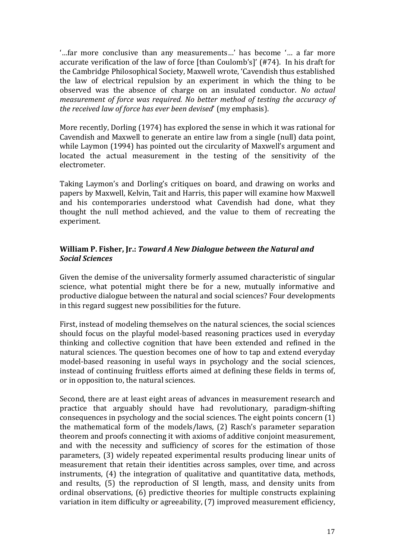"...far more conclusive than any measurements...' has become '... a far more accurate verification of the law of force [than Coulomb's]' (#74). In his draft for the Cambridge Philosophical Society, Maxwell wrote, 'Cavendish thus established the law of electrical repulsion by an experiment in which the thing to be observed was the absence of charge on an insulated conductor. *No actual measurement of force was required. No better method of testing the accuracy of the received law of force has ever been devised'* (my emphasis).

More recently, Dorling  $(1974)$  has explored the sense in which it was rational for Cavendish and Maxwell to generate an entire law from a single (null) data point, while Laymon (1994) has pointed out the circularity of Maxwell's argument and located the actual measurement in the testing of the sensitivity of the electrometer.

Taking Laymon's and Dorling's critiques on board, and drawing on works and papers by Maxwell, Kelvin, Tait and Harris, this paper will examine how Maxwell and his contemporaries understood what Cavendish had done, what they thought the null method achieved, and the value to them of recreating the experiment.

# **William P. Fisher, Jr.: Toward A New Dialogue between the Natural and** *Social Sciences*

Given the demise of the universality formerly assumed characteristic of singular science, what potential might there be for a new, mutually informative and productive dialogue between the natural and social sciences? Four developments in this regard suggest new possibilities for the future.

First, instead of modeling themselves on the natural sciences, the social sciences should focus on the playful model-based reasoning practices used in everyday thinking and collective cognition that have been extended and refined in the natural sciences. The question becomes one of how to tap and extend everyday model-based reasoning in useful ways in psychology and the social sciences, instead of continuing fruitless efforts aimed at defining these fields in terms of, or in opposition to, the natural sciences.

Second, there are at least eight areas of advances in measurement research and practice that arguably should have had revolutionary, paradigm-shifting consequences in psychology and the social sciences. The eight points concern  $(1)$ the mathematical form of the models/laws, (2) Rasch's parameter separation theorem and proofs connecting it with axioms of additive conjoint measurement, and with the necessity and sufficiency of scores for the estimation of those parameters, (3) widely repeated experimental results producing linear units of measurement that retain their identities across samples, over time, and across instruments,  $(4)$  the integration of qualitative and quantitative data, methods, and results, (5) the reproduction of SI length, mass, and density units from ordinal observations, (6) predictive theories for multiple constructs explaining variation in item difficulty or agreeability, (7) improved measurement efficiency,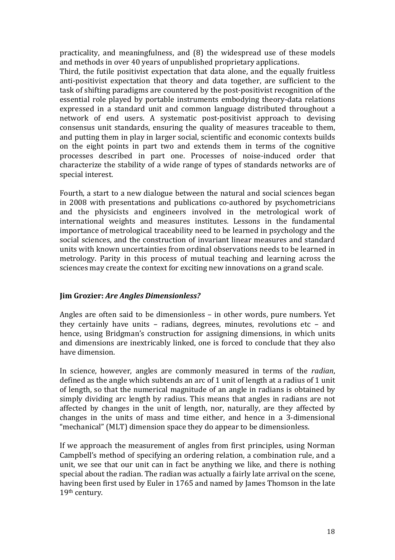practicality, and meaningfulness, and  $(8)$  the widespread use of these models and methods in over 40 years of unpublished proprietary applications.

Third, the futile positivist expectation that data alone, and the equally fruitless anti-positivist expectation that theory and data together, are sufficient to the task of shifting paradigms are countered by the post-positivist recognition of the essential role played by portable instruments embodying theory-data relations expressed in a standard unit and common language distributed throughout a network of end users. A systematic post-positivist approach to devising consensus unit standards, ensuring the quality of measures traceable to them, and putting them in play in larger social, scientific and economic contexts builds on the eight points in part two and extends them in terms of the cognitive processes described in part one. Processes of noise-induced order that characterize the stability of a wide range of types of standards networks are of special interest.

Fourth, a start to a new dialogue between the natural and social sciences began in 2008 with presentations and publications co-authored by psychometricians and the physicists and engineers involved in the metrological work of international weights and measures institutes. Lessons in the fundamental importance of metrological traceability need to be learned in psychology and the social sciences, and the construction of invariant linear measures and standard units with known uncertainties from ordinal observations needs to be learned in metrology. Parity in this process of mutual teaching and learning across the sciences may create the context for exciting new innovations on a grand scale.

# **Jim Grozier:** *Are Angles Dimensionless?*

Angles are often said to be dimensionless  $-$  in other words, pure numbers. Yet they certainly have units  $-$  radians, degrees, minutes, revolutions etc  $-$  and hence, using Bridgman's construction for assigning dimensions, in which units and dimensions are inextricably linked, one is forced to conclude that they also have dimension.

In science, however, angles are commonly measured in terms of the *radian*, defined as the angle which subtends an arc of 1 unit of length at a radius of 1 unit of length, so that the numerical magnitude of an angle in radians is obtained by simply dividing arc length by radius. This means that angles in radians are not affected by changes in the unit of length, nor, naturally, are they affected by changes in the units of mass and time either, and hence in a 3-dimensional "mechanical" (MLT) dimension space they do appear to be dimensionless.

If we approach the measurement of angles from first principles, using Norman Campbell's method of specifying an ordering relation, a combination rule, and a unit, we see that our unit can in fact be anything we like, and there is nothing special about the radian. The radian was actually a fairly late arrival on the scene, having been first used by Euler in 1765 and named by James Thomson in the late 19th century.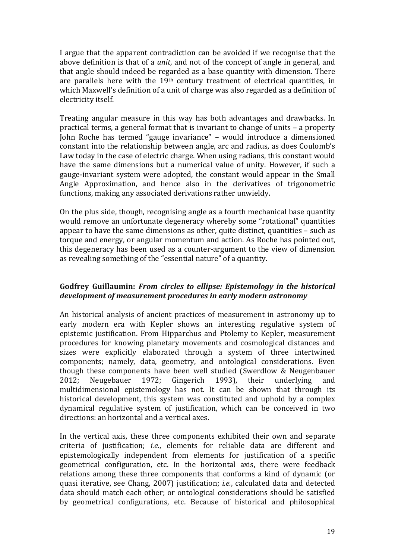I argue that the apparent contradiction can be avoided if we recognise that the above definition is that of a *unit*, and not of the concept of angle in general, and that angle should indeed be regarded as a base quantity with dimension. There are parallels here with the  $19<sup>th</sup>$  century treatment of electrical quantities, in which Maxwell's definition of a unit of charge was also regarded as a definition of electricity itself.

Treating angular measure in this way has both advantages and drawbacks. In practical terms, a general format that is invariant to change of units  $-$  a property John Roche has termed "gauge invariance" – would introduce a dimensioned constant into the relationship between angle, arc and radius, as does Coulomb's Law today in the case of electric charge. When using radians, this constant would have the same dimensions but a numerical value of unity. However, if such a gauge-invariant system were adopted, the constant would appear in the Small Angle Approximation, and hence also in the derivatives of trigonometric functions, making any associated derivations rather unwieldy.

On the plus side, though, recognising angle as a fourth mechanical base quantity would remove an unfortunate degeneracy whereby some "rotational" quantities appear to have the same dimensions as other, quite distinct, quantities  $-$  such as torque and energy, or angular momentum and action. As Roche has pointed out, this degeneracy has been used as a counter-argument to the view of dimension as revealing something of the "essential nature" of a quantity.

### Godfrey Guillaumin: *From circles to ellipse: Epistemology in the historical* development of measurement procedures in early modern astronomy

An historical analysis of ancient practices of measurement in astronomy up to early modern era with Kepler shows an interesting regulative system of epistemic justification. From Hipparchus and Ptolemy to Kepler, measurement procedures for knowing planetary movements and cosmological distances and sizes were explicitly elaborated through a system of three intertwined components; namely, data, geometry, and ontological considerations. Even though these components have been well studied (Swerdlow & Neugenbauer 2012; Neugebauer 1972; Gingerich 1993), their underlying and multidimensional epistemology has not. It can be shown that through its historical development, this system was constituted and uphold by a complex dynamical regulative system of justification, which can be conceived in two directions: an horizontal and a vertical axes.

In the vertical axis, these three components exhibited their own and separate criteria of justification; *i.e.*, elements for reliable data are different and epistemologically independent from elements for justification of a specific geometrical configuration, etc. In the horizontal axis, there were feedback relations among these three components that conforms a kind of dynamic (or quasi iterative, see Chang, 2007) justification; *i.e.*, calculated data and detected data should match each other; or ontological considerations should be satisfied by geometrical configurations, etc. Because of historical and philosophical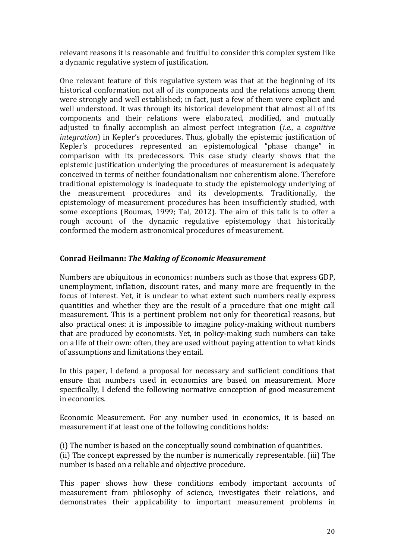relevant reasons it is reasonable and fruitful to consider this complex system like a dynamic regulative system of justification.

One relevant feature of this regulative system was that at the beginning of its historical conformation not all of its components and the relations among them were strongly and well established; in fact, just a few of them were explicit and well understood. It was through its historical development that almost all of its components and their relations were elaborated, modified, and mutually adjusted to finally accomplish an almost perfect integration *(i.e., a cognitive integration*) in Kepler's procedures. Thus, globally the epistemic justification of Kepler's procedures represented an epistemological "phase change" in comparison with its predecessors. This case study clearly shows that the epistemic justification underlying the procedures of measurement is adequately conceived in terms of neither foundationalism nor coherentism alone. Therefore traditional epistemology is inadequate to study the epistemology underlying of the measurement procedures and its developments. Traditionally, the epistemology of measurement procedures has been insufficiently studied, with some exceptions (Boumas, 1999; Tal, 2012). The aim of this talk is to offer a rough account of the dynamic regulative epistemology that historically conformed the modern astronomical procedures of measurement.

### **Conrad Heilmann:** *The Making of Economic Measurement*

Numbers are ubiquitous in economics: numbers such as those that express GDP. unemployment, inflation, discount rates, and many more are frequently in the focus of interest. Yet, it is unclear to what extent such numbers really express quantities and whether they are the result of a procedure that one might call measurement. This is a pertinent problem not only for theoretical reasons, but also practical ones: it is impossible to imagine policy-making without numbers that are produced by economists. Yet, in policy-making such numbers can take on a life of their own: often, they are used without paying attention to what kinds of assumptions and limitations they entail.

In this paper, I defend a proposal for necessary and sufficient conditions that ensure that numbers used in economics are based on measurement. More specifically, I defend the following normative conception of good measurement in economics.

Economic Measurement. For any number used in economics, it is based on measurement if at least one of the following conditions holds:

(i) The number is based on the conceptually sound combination of quantities. (ii) The concept expressed by the number is numerically representable. (iii) The number is based on a reliable and objective procedure.

This paper shows how these conditions embody important accounts of measurement from philosophy of science, investigates their relations, and demonstrates their applicability to important measurement problems in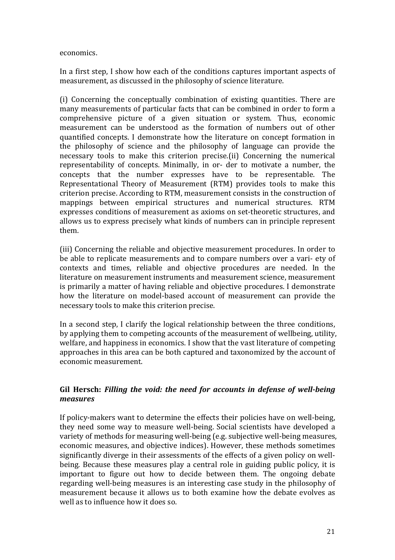economics.

In a first step, I show how each of the conditions captures important aspects of measurement, as discussed in the philosophy of science literature.

(i) Concerning the conceptually combination of existing quantities. There are many measurements of particular facts that can be combined in order to form a comprehensive picture of a given situation or system. Thus, economic measurement can be understood as the formation of numbers out of other quantified concepts. I demonstrate how the literature on concept formation in the philosophy of science and the philosophy of language can provide the necessary tools to make this criterion precise.(ii) Concerning the numerical representability of concepts. Minimally, in or- der to motivate a number, the concepts that the number expresses have to be representable. The Representational Theory of Measurement (RTM) provides tools to make this criterion precise. According to RTM, measurement consists in the construction of mappings between empirical structures and numerical structures. RTM expresses conditions of measurement as axioms on set-theoretic structures, and allows us to express precisely what kinds of numbers can in principle represent them.

(iii) Concerning the reliable and objective measurement procedures. In order to be able to replicate measurements and to compare numbers over a vari- ety of contexts and times, reliable and objective procedures are needed. In the literature on measurement instruments and measurement science, measurement is primarily a matter of having reliable and objective procedures. I demonstrate how the literature on model-based account of measurement can provide the necessary tools to make this criterion precise.

In a second step, I clarify the logical relationship between the three conditions, by applying them to competing accounts of the measurement of wellbeing, utility, welfare, and happiness in economics. I show that the vast literature of competing approaches in this area can be both captured and taxonomized by the account of economic measurement.

# Gil Hersch: Filling the void: the need for accounts in defense of well-being *measures*

If policy-makers want to determine the effects their policies have on well-being, they need some way to measure well-being. Social scientists have developed a variety of methods for measuring well-being (e.g. subjective well-being measures, economic measures, and objective indices). However, these methods sometimes significantly diverge in their assessments of the effects of a given policy on wellbeing. Because these measures play a central role in guiding public policy, it is important to figure out how to decide between them. The ongoing debate regarding well-being measures is an interesting case study in the philosophy of measurement because it allows us to both examine how the debate evolves as well as to influence how it does so.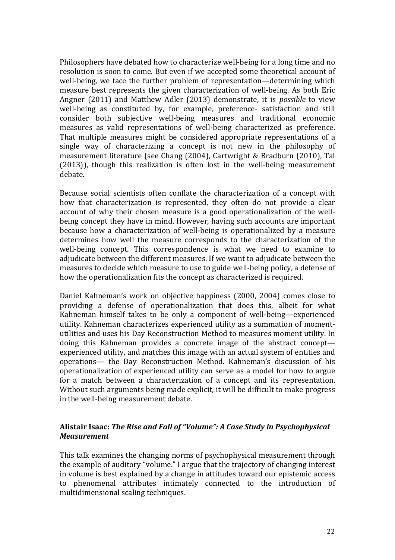Philosophers have debated how to characterize well-being for a long time and no resolution is soon to come. But even if we accepted some theoretical account of well-being, we face the further problem of representation—determining which measure best represents the given characterization of well-being. As both Eric Angner (2011) and Matthew Adler (2013) demonstrate, it is *possible* to view well-being as constituted by, for example, preference- satisfaction and still consider both subjective well-being measures and traditional economic measures as valid representations of well-being characterized as preference. That multiple measures might be considered appropriate representations of a single way of characterizing a concept is not new in the philosophy of measurement literature (see Chang (2004), Cartwright & Bradburn (2010), Tal  $(2013)$ ), though this realization is often lost in the well-being measurement debate.

Because social scientists often conflate the characterization of a concept with how that characterization is represented, they often do not provide a clear account of why their chosen measure is a good operationalization of the wellbeing concept they have in mind. However, having such accounts are important because how a characterization of well-being is operationalized by a measure determines how well the measure corresponds to the characterization of the well-being concept. This correspondence is what we need to examine to adjudicate between the different measures. If we want to adjudicate between the measures to decide which measure to use to guide well-being policy, a defense of how the operationalization fits the concept as characterized is required.

Daniel Kahneman's work on objective happiness (2000, 2004) comes close to providing a defense of operationalization that does this, albeit for what Kahneman himself takes to be only a component of well-being—experienced utility. Kahneman characterizes experienced utility as a summation of momentutilities and uses his Day Reconstruction Method to measures moment utility. In doing this Kahneman provides a concrete image of the abstract concept experienced utility, and matches this image with an actual system of entities and operations— the Day Reconstruction Method. Kahneman's discussion of his operationalization of experienced utility can serve as a model for how to argue for a match between a characterization of a concept and its representation. Without such arguments being made explicit, it will be difficult to make progress in the well-being measurement debate.

# Alistair Isaac: The Rise and Fall of "Volume": A Case Study in Psychophysical *Measurement*

This talk examines the changing norms of psychophysical measurement through the example of auditory "volume." I argue that the trajectory of changing interest in volume is best explained by a change in attitudes toward our epistemic access to phenomenal attributes intimately connected to the introduction of multidimensional scaling techniques.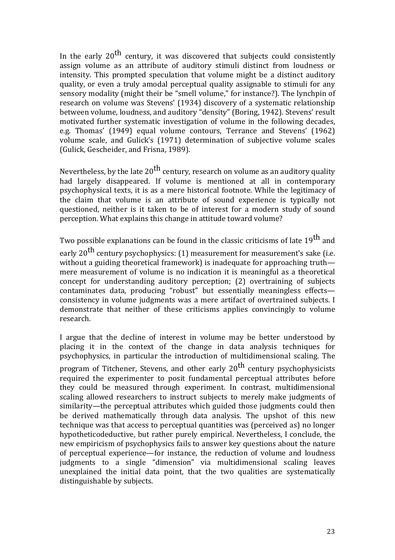In the early  $20^{th}$  century, it was discovered that subjects could consistently assign volume as an attribute of auditory stimuli distinct from loudness or intensity. This prompted speculation that volume might be a distinct auditory quality, or even a truly amodal perceptual quality assignable to stimuli for any sensory modality (might their be "smell volume," for instance?). The lynchpin of research on volume was Stevens' (1934) discovery of a systematic relationship between volume, loudness, and auditory "density" (Boring, 1942). Stevens' result motivated further systematic investigation of volume in the following decades, e.g. Thomas' (1949) equal volume contours, Terrance and Stevens' (1962) volume scale, and Gulick's (1971) determination of subjective volume scales (Gulick, Gescheider, and Frisna, 1989).

Nevertheless, by the late  $20^{th}$  century, research on volume as an auditory quality had largely disappeared. If volume is mentioned at all in contemporary psychophysical texts, it is as a mere historical footnote. While the legitimacy of the claim that volume is an attribute of sound experience is typically not questioned, neither is it taken to be of interest for a modern study of sound perception. What explains this change in attitude toward volume?

Two possible explanations can be found in the classic criticisms of late 19<sup>th</sup> and early 20<sup>th</sup> century psychophysics: (1) measurement for measurement's sake (i.e. without a guiding theoretical framework) is inadequate for approaching truth mere measurement of volume is no indication it is meaningful as a theoretical  $\alpha$  concept for understanding auditory perception; (2) overtraining of subjects contaminates data, producing "robust" but essentially meaningless effectsconsistency in volume judgments was a mere artifact of overtrained subjects. I demonstrate that neither of these criticisms applies convincingly to volume research.

I argue that the decline of interest in volume may be better understood by placing it in the context of the change in data analysis techniques for psychophysics, in particular the introduction of multidimensional scaling. The program of Titchener, Stevens, and other early  $20^{th}$  century psychophysicists required the experimenter to posit fundamental perceptual attributes before they could be measured through experiment. In contrast, multidimensional scaling allowed researchers to instruct subjects to merely make judgments of similarity—the perceptual attributes which guided those judgments could then be derived mathematically through data analysis. The upshot of this new technique was that access to perceptual quantities was (perceived as) no longer hypotheticodeductive, but rather purely empirical. Nevertheless, I conclude, the new empiricism of psychophysics fails to answer key questions about the nature of perceptual experience—for instance, the reduction of volume and loudness judgments to a single "dimension" via multidimensional scaling leaves unexplained the initial data point, that the two qualities are systematically distinguishable by subjects.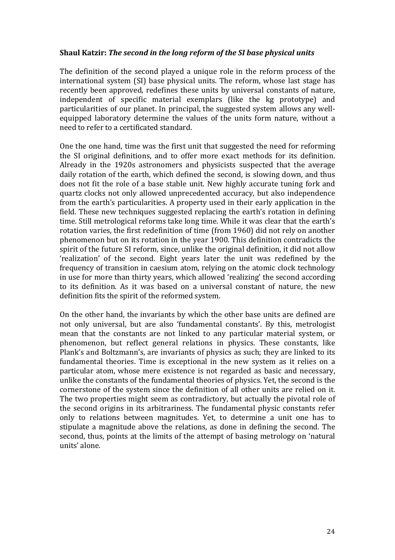### **Shaul Katzir: The second in the long reform of the SI base physical units**

The definition of the second played a unique role in the reform process of the international system (SI) base physical units. The reform, whose last stage has recently been approved, redefines these units by universal constants of nature, independent of specific material exemplars (like the kg prototype) and particularities of our planet. In principal, the suggested system allows any wellequipped laboratory determine the values of the units form nature, without a need to refer to a certificated standard.

One the one hand, time was the first unit that suggested the need for reforming the SI original definitions, and to offer more exact methods for its definition. Already in the 1920s astronomers and physicists suspected that the average daily rotation of the earth, which defined the second, is slowing down, and thus does not fit the role of a base stable unit. New highly accurate tuning fork and quartz clocks not only allowed unprecedented accuracy, but also independence from the earth's particularities. A property used in their early application in the field. These new techniques suggested replacing the earth's rotation in defining time. Still metrological reforms take long time. While it was clear that the earth's rotation varies, the first redefinition of time (from 1960) did not rely on another phenomenon but on its rotation in the year 1900. This definition contradicts the spirit of the future SI reform, since, unlike the original definition, it did not allow 'realization' of the second. Eight years later the unit was redefined by the frequency of transition in caesium atom, relying on the atomic clock technology in use for more than thirty years, which allowed 'realizing' the second according to its definition. As it was based on a universal constant of nature, the new definition fits the spirit of the reformed system.

On the other hand, the invariants by which the other base units are defined are not only universal, but are also 'fundamental constants'. By this, metrologist mean that the constants are not linked to any particular material system, or phenomenon, but reflect general relations in physics. These constants, like Plank's and Boltzmann's, are invariants of physics as such; they are linked to its fundamental theories. Time is exceptional in the new system as it relies on a particular atom, whose mere existence is not regarded as basic and necessary, unlike the constants of the fundamental theories of physics. Yet, the second is the cornerstone of the system since the definition of all other units are relied on it. The two properties might seem as contradictory, but actually the pivotal role of the second origins in its arbitrariness. The fundamental physic constants refer only to relations between magnitudes. Yet, to determine a unit one has to stipulate a magnitude above the relations, as done in defining the second. The second, thus, points at the limits of the attempt of basing metrology on 'natural units' alone.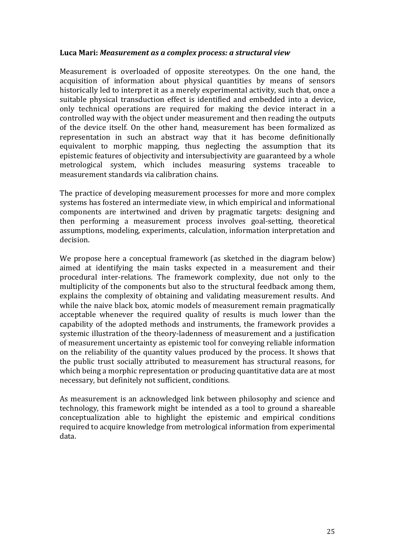### Luca Mari: *Measurement as a complex process: a structural view*

Measurement is overloaded of opposite stereotypes. On the one hand, the acquisition of information about physical quantities by means of sensors historically led to interpret it as a merely experimental activity, such that, once a suitable physical transduction effect is identified and embedded into a device, only technical operations are required for making the device interact in a controlled way with the object under measurement and then reading the outputs of the device itself. On the other hand, measurement has been formalized as representation in such an abstract way that it has become definitionally equivalent to morphic mapping, thus neglecting the assumption that its epistemic features of objectivity and intersubjectivity are guaranteed by a whole metrological system, which includes measuring systems traceable to measurement standards via calibration chains.

The practice of developing measurement processes for more and more complex systems has fostered an intermediate view, in which empirical and informational components are intertwined and driven by pragmatic targets: designing and then performing a measurement process involves goal-setting, theoretical assumptions, modeling, experiments, calculation, information interpretation and decision.

We propose here a conceptual framework (as sketched in the diagram below) aimed at identifying the main tasks expected in a measurement and their procedural inter-relations. The framework complexity, due not only to the multiplicity of the components but also to the structural feedback among them, explains the complexity of obtaining and validating measurement results. And while the naive black box, atomic models of measurement remain pragmatically acceptable whenever the required quality of results is much lower than the capability of the adopted methods and instruments, the framework provides a systemic illustration of the theory-ladenness of measurement and a justification of measurement uncertainty as epistemic tool for conveying reliable information on the reliability of the quantity values produced by the process. It shows that the public trust socially attributed to measurement has structural reasons, for which being a morphic representation or producing quantitative data are at most necessary, but definitely not sufficient, conditions.

As measurement is an acknowledged link between philosophy and science and technology, this framework might be intended as a tool to ground a shareable conceptualization able to highlight the epistemic and empirical conditions required to acquire knowledge from metrological information from experimental data.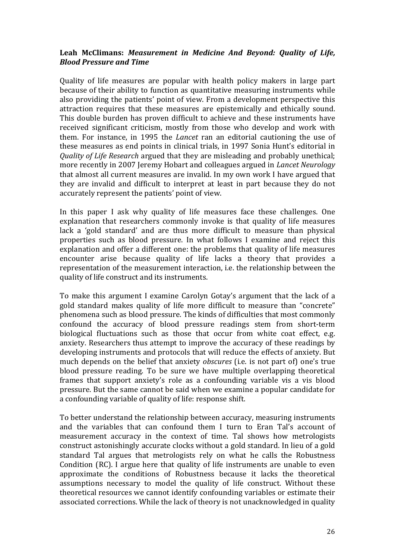# Leah McClimans: *Measurement* in *Medicine And Beyond: Quality of Life, Blood Pressure and Time*

Quality of life measures are popular with health policy makers in large part because of their ability to function as quantitative measuring instruments while also providing the patients' point of view. From a development perspective this attraction requires that these measures are epistemically and ethically sound. This double burden has proven difficult to achieve and these instruments have received significant criticism, mostly from those who develop and work with them. For instance, in 1995 the *Lancet* ran an editorial cautioning the use of these measures as end points in clinical trials, in 1997 Sonia Hunt's editorial in *Quality of Life Research* argued that they are misleading and probably unethical; more recently in 2007 Jeremy Hobart and colleagues argued in *Lancet Neurology* that almost all current measures are invalid. In my own work I have argued that they are invalid and difficult to interpret at least in part because they do not accurately represent the patients' point of view.

In this paper I ask why quality of life measures face these challenges. One explanation that researchers commonly invoke is that quality of life measures lack a 'gold standard' and are thus more difficult to measure than physical properties such as blood pressure. In what follows I examine and reject this explanation and offer a different one: the problems that quality of life measures encounter arise because quality of life lacks a theory that provides a representation of the measurement interaction, i.e. the relationship between the quality of life construct and its instruments.

To make this argument I examine Carolyn Gotay's argument that the lack of a gold standard makes quality of life more difficult to measure than "concrete" phenomena such as blood pressure. The kinds of difficulties that most commonly confound the accuracy of blood pressure readings stem from short-term biological fluctuations such as those that occur from white coat effect, e.g. anxiety. Researchers thus attempt to improve the accuracy of these readings by developing instruments and protocols that will reduce the effects of anxiety. But much depends on the belief that anxiety *obscures* (i.e. is not part of) one's true blood pressure reading. To be sure we have multiple overlapping theoretical frames that support anxiety's role as a confounding variable vis a vis blood pressure. But the same cannot be said when we examine a popular candidate for a confounding variable of quality of life: response shift.

To better understand the relationship between accuracy, measuring instruments and the variables that can confound them I turn to Eran Tal's account of measurement accuracy in the context of time. Tal shows how metrologists construct astonishingly accurate clocks without a gold standard. In lieu of a gold standard Tal argues that metrologists rely on what he calls the Robustness Condition (RC). I argue here that quality of life instruments are unable to even approximate the conditions of Robustness because it lacks the theoretical assumptions necessary to model the quality of life construct. Without these theoretical resources we cannot identify confounding variables or estimate their associated corrections. While the lack of theory is not unacknowledged in quality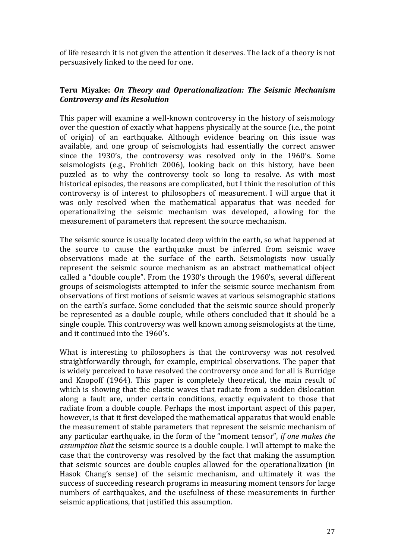of life research it is not given the attention it deserves. The lack of a theory is not persuasively linked to the need for one.

# **Teru Miyake: On Theory and Operationalization: The Seismic Mechanism** *Controversy and its Resolution*

This paper will examine a well-known controversy in the history of seismology over the question of exactly what happens physically at the source (i.e., the point of origin) of an earthquake. Although evidence bearing on this issue was available, and one group of seismologists had essentially the correct answer since the 1930's, the controversy was resolved only in the 1960's. Some seismologists (e.g., Frohlich 2006), looking back on this history, have been puzzled as to why the controversy took so long to resolve. As with most historical episodes, the reasons are complicated, but I think the resolution of this controversy is of interest to philosophers of measurement. I will argue that it was only resolved when the mathematical apparatus that was needed for operationalizing the seismic mechanism was developed, allowing for the measurement of parameters that represent the source mechanism.

The seismic source is usually located deep within the earth, so what happened at the source to cause the earthquake must be inferred from seismic wave observations made at the surface of the earth. Seismologists now usually represent the seismic source mechanism as an abstract mathematical object called a "double couple". From the 1930's through the 1960's, several different groups of seismologists attempted to infer the seismic source mechanism from observations of first motions of seismic waves at various seismographic stations on the earth's surface. Some concluded that the seismic source should properly be represented as a double couple, while others concluded that it should be a single couple. This controversy was well known among seismologists at the time, and it continued into the 1960's.

What is interesting to philosophers is that the controversy was not resolved straightforwardly through, for example, empirical observations. The paper that is widely perceived to have resolved the controversy once and for all is Burridge and Knopoff (1964). This paper is completely theoretical, the main result of which is showing that the elastic waves that radiate from a sudden dislocation along a fault are, under certain conditions, exactly equivalent to those that radiate from a double couple. Perhaps the most important aspect of this paper, however, is that it first developed the mathematical apparatus that would enable the measurement of stable parameters that represent the seismic mechanism of any particular earthquake, in the form of the "moment tensor", *if one makes the assumption* that the seismic source is a double couple. I will attempt to make the case that the controversy was resolved by the fact that making the assumption that seismic sources are double couples allowed for the operationalization (in Hasok Chang's sense) of the seismic mechanism, and ultimately it was the success of succeeding research programs in measuring moment tensors for large numbers of earthquakes, and the usefulness of these measurements in further seismic applications, that justified this assumption.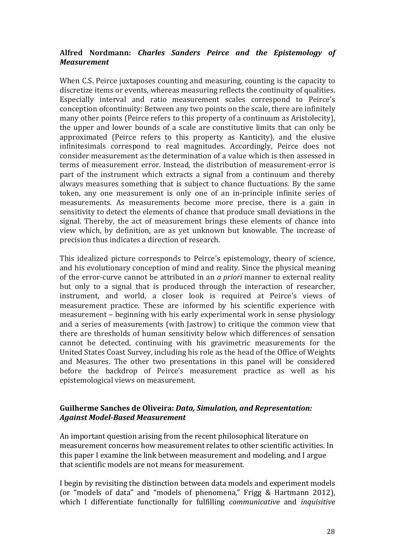# Alfred Nordmann: *Charles Sanders Peirce and the Epistemology of Measurement*

When C.S. Peirce juxtaposes counting and measuring, counting is the capacity to discretize items or events, whereas measuring reflects the continuity of qualities. Especially interval and ratio measurement scales correspond to Peirce's conception of continuity: Between any two points on the scale, there are infinitely many other points (Peirce refers to this property of a continuum as Aristolecity), the upper and lower bounds of a scale are constitutive limits that can only be approximated (Peirce refers to this property as Kanticity), and the elusive infinitesimals correspond to real magnitudes. Accordingly, Peirce does not consider measurement as the determination of a value which is then assessed in terms of measurement error. Instead, the distribution of measurement-error is part of the instrument which extracts a signal from a continuum and thereby always measures something that is subject to chance fluctuations. By the same token, any one measurement is only one of an in-principle infinite series of measurements. As measurements become more precise, there is a gain in sensitivity to detect the elements of chance that produce small deviations in the signal. Thereby, the act of measurement brings these elements of chance into view which, by definition, are as yet unknown but knowable. The increase of precision thus indicates a direction of research.

This idealized picture corresponds to Peirce's epistemology, theory of science, and his evolutionary conception of mind and reality. Since the physical meaning of the error-curve cannot be attributed in an *a priori* manner to external reality but only to a signal that is produced through the interaction of researcher, instrument, and world, a closer look is required at Peirce's views of measurement practice. These are informed by his scientific experience with measurement – beginning with his early experimental work in sense physiology and a series of measurements (with Jastrow) to critique the common view that there are thresholds of human sensitivity below which differences of sensation cannot be detected, continuing with his gravimetric measurements for the United States Coast Survey, including his role as the head of the Office of Weights and Measures. The other two presentations in this panel will be considered before the backdrop of Peirce's measurement practice as well as his epistemological views on measurement.

### Guilherme Sanches de Oliveira: *Data, Simulation, and Representation: Against Model-Based Measurement*

An important question arising from the recent philosophical literature on measurement concerns how measurement relates to other scientific activities. In this paper I examine the link between measurement and modeling, and I argue that scientific models are not means for measurement.

I begin by revisiting the distinction between data models and experiment models (or "models of data" and "models of phenomena," Frigg & Hartmann 2012), which I differentiate functionally for fulfilling *communicative* and *inquisitive*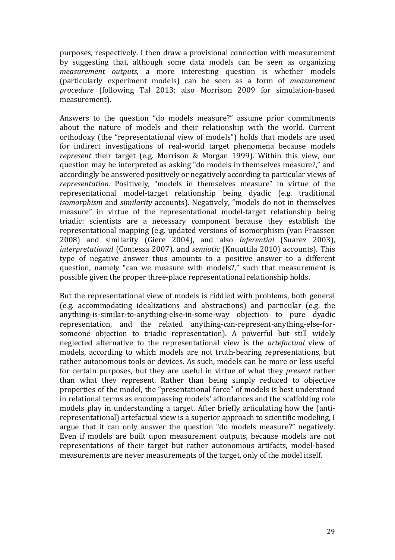purposes, respectively. I then draw a provisional connection with measurement by suggesting that, although some data models can be seen as organizing *measurement outputs*, a more interesting question is whether models (particularly experiment models) can be seen as a form of *measurement*  procedure (following Tal 2013; also Morrison 2009 for simulation-based measurement).

Answers to the question "do models measure?" assume prior commitments about the nature of models and their relationship with the world. Current orthodoxy (the "representational view of models") holds that models are used for indirect investigations of real-world target phenomena because models *represent* their target (e.g. Morrison & Morgan 1999). Within this view, our question may be interpreted as asking "do models in themselves measure?," and accordingly be answered positively or negatively according to particular views of *representation*. Positively, "models in themselves measure" in virtue of the representational model-target relationship being dyadic (e.g. traditional *isomorphism* and *similarity* accounts). Negatively, "models do not in themselves measure" in virtue of the representational model-target relationship being triadic: scientists are a necessary component because they establish the representational mapping (e.g. updated versions of isomorphism (van Fraassen 2008) and similarity (Giere 2004), and also *inferential* (Suarez 2003), *interpretational* (Contessa 2007), and *semiotic* (Knuuttila 2010) accounts). This type of negative answer thus amounts to a positive answer to a different question, namely "can we measure with models?," such that measurement is possible given the proper three-place representational relationship holds.

But the representational view of models is riddled with problems, both general (e.g. accommodating idealizations and abstractions) and particular (e.g. the anything-is-similar-to-anything-else-in-some-way objection to pure dyadic representation, and the related anything-can-represent-anything-else-forsomeone objection to triadic representation). A powerful but still widely neglected alternative to the representational view is the *artefactual* view of models, according to which models are not truth-bearing representations, but rather autonomous tools or devices. As such, models can be more or less useful for certain purposes, but they are useful in virtue of what they *present* rather than what they *re*present. Rather than being simply reduced to objective properties of the model, the "presentational force" of models is best understood in relational terms as encompassing models' affordances and the scaffolding role models play in understanding a target. After briefly articulating how the (antirepresentational) artefactual view is a superior approach to scientific modeling, I argue that it can only answer the question "do models measure?" negatively. Even if models are built upon measurement outputs, because models are not representations of their target but rather autonomous artifacts, model-based measurements are never measurements of the target, only of the model itself.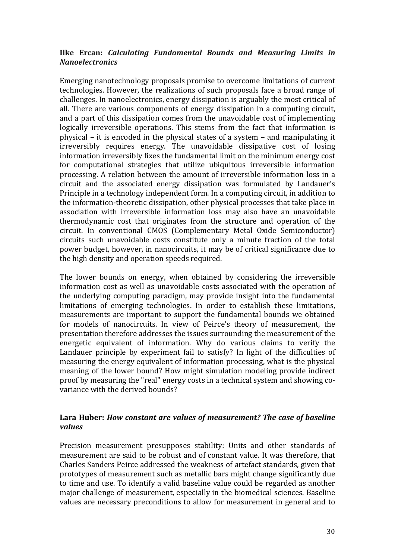# **Ilke Ercan: Calculating Fundamental Bounds and Measuring Limits in** *Nanoelectronics*

Emerging nanotechnology proposals promise to overcome limitations of current technologies. However, the realizations of such proposals face a broad range of challenges. In nanoelectronics, energy dissipation is arguably the most critical of all. There are various components of energy dissipation in a computing circuit, and a part of this dissipation comes from the unavoidable cost of implementing logically irreversible operations. This stems from the fact that information is physical – it is encoded in the physical states of a system – and manipulating it irreversibly requires energy. The unavoidable dissipative cost of losing information irreversibly fixes the fundamental limit on the minimum energy cost for computational strategies that utilize ubiquitous irreversible information processing. A relation between the amount of irreversible information loss in a circuit and the associated energy dissipation was formulated by Landauer's Principle in a technology independent form. In a computing circuit, in addition to the information-theoretic dissipation, other physical processes that take place in association with irreversible information loss may also have an unavoidable thermodynamic cost that originates from the structure and operation of the circuit. In conventional CMOS (Complementary Metal Oxide Semiconductor) circuits such unavoidable costs constitute only a minute fraction of the total power budget, however, in nanocircuits, it may be of critical significance due to the high density and operation speeds required.

The lower bounds on energy, when obtained by considering the irreversible information cost as well as unavoidable costs associated with the operation of the underlying computing paradigm, may provide insight into the fundamental limitations of emerging technologies. In order to establish these limitations, measurements are important to support the fundamental bounds we obtained for models of nanocircuits. In view of Peirce's theory of measurement, the presentation therefore addresses the issues surrounding the measurement of the energetic equivalent of information. Why do various claims to verify the Landauer principle by experiment fail to satisfy? In light of the difficulties of measuring the energy equivalent of information processing, what is the physical meaning of the lower bound? How might simulation modeling provide indirect proof by measuring the "real" energy costs in a technical system and showing covariance with the derived bounds?

# Lara Huber: *How constant are values of measurement? The case of baseline values*

Precision measurement presupposes stability: Units and other standards of measurement are said to be robust and of constant value. It was therefore, that Charles Sanders Peirce addressed the weakness of artefact standards, given that prototypes of measurement such as metallic bars might change significantly due to time and use. To identify a valid baseline value could be regarded as another major challenge of measurement, especially in the biomedical sciences. Baseline values are necessary preconditions to allow for measurement in general and to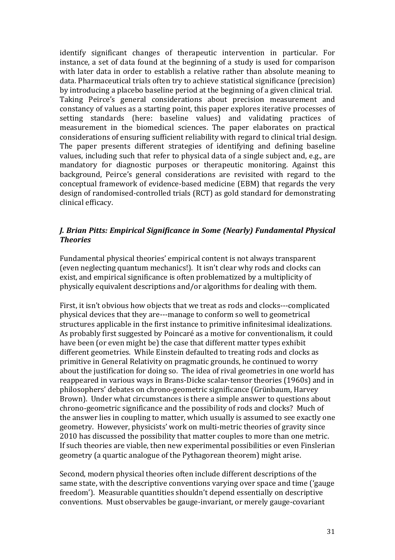identify significant changes of therapeutic intervention in particular. For instance, a set of data found at the beginning of a study is used for comparison with later data in order to establish a relative rather than absolute meaning to data. Pharmaceutical trials often try to achieve statistical significance (precision) by introducing a placebo baseline period at the beginning of a given clinical trial. Taking Peirce's general considerations about precision measurement and constancy of values as a starting point, this paper explores iterative processes of setting standards (here: baseline values) and validating practices of measurement in the biomedical sciences. The paper elaborates on practical considerations of ensuring sufficient reliability with regard to clinical trial design. The paper presents different strategies of identifying and defining baseline values, including such that refer to physical data of a single subject and, e.g., are mandatory for diagnostic purposes or therapeutic monitoring. Against this background, Peirce's general considerations are revisited with regard to the conceptual framework of evidence-based medicine (EBM) that regards the very design of randomised-controlled trials (RCT) as gold standard for demonstrating clinical efficacy.

# *J. Brian Pitts: Empirical Significance in Some (Nearly) Fundamental Physical Theories*

Fundamental physical theories' empirical content is not always transparent (even neglecting quantum mechanics!). It isn't clear why rods and clocks can exist, and empirical significance is often problematized by a multiplicity of physically equivalent descriptions and/or algorithms for dealing with them.

First, it isn't obvious how objects that we treat as rods and clocks---complicated physical devices that they are---manage to conform so well to geometrical structures applicable in the first instance to primitive infinitesimal idealizations. As probably first suggested by Poincaré as a motive for conventionalism, it could have been (or even might be) the case that different matter types exhibit different geometries. While Einstein defaulted to treating rods and clocks as primitive in General Relativity on pragmatic grounds, he continued to worry about the justification for doing so. The idea of rival geometries in one world has reappeared in various ways in Brans-Dicke scalar-tensor theories (1960s) and in philosophers' debates on chrono-geometric significance (Grünbaum, Harvey Brown). Under what circumstances is there a simple answer to questions about chrono-geometric significance and the possibility of rods and clocks? Much of the answer lies in coupling to matter, which usually is assumed to see exactly one geometry. However, physicists' work on multi-metric theories of gravity since 2010 has discussed the possibility that matter couples to more than one metric. If such theories are viable, then new experimental possibilities or even Finslerian geometry (a quartic analogue of the Pythagorean theorem) might arise.

Second, modern physical theories often include different descriptions of the same state, with the descriptive conventions varying over space and time ('gauge freedom'). Measurable quantities shouldn't depend essentially on descriptive conventions. Must observables be gauge-invariant, or merely gauge-covariant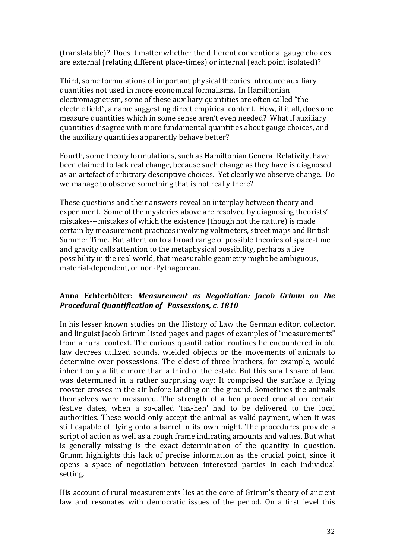(translatable)? Does it matter whether the different conventional gauge choices are external (relating different place-times) or internal (each point isolated)?

Third, some formulations of important physical theories introduce auxiliary quantities not used in more economical formalisms. In Hamiltonian electromagnetism, some of these auxiliary quantities are often called "the electric field", a name suggesting direct empirical content. How, if it all, does one measure quantities which in some sense aren't even needed? What if auxiliary quantities disagree with more fundamental quantities about gauge choices, and the auxiliary quantities apparently behave better?

Fourth, some theory formulations, such as Hamiltonian General Relativity, have been claimed to lack real change, because such change as they have is diagnosed as an artefact of arbitrary descriptive choices. Yet clearly we observe change. Do we manage to observe something that is not really there?

These questions and their answers reveal an interplay between theory and experiment. Some of the mysteries above are resolved by diagnosing theorists' mistakes---mistakes of which the existence (though not the nature) is made certain by measurement practices involving voltmeters, street maps and British Summer Time. But attention to a broad range of possible theories of space-time and gravity calls attention to the metaphysical possibility, perhaps a live possibility in the real world, that measurable geometry might be ambiguous, material-dependent, or non-Pythagorean.

# **Anna Echterhölter:**  *Measurement as Negotiation: Jacob Grimm on the Procedural Quantification of Possessions, c. 1810*

In his lesser known studies on the History of Law the German editor, collector, and linguist Jacob Grimm listed pages and pages of examples of "measurements" from a rural context. The curious quantification routines he encountered in old law decrees utilized sounds, wielded objects or the movements of animals to determine over possessions. The eldest of three brothers, for example, would inherit only a little more than a third of the estate. But this small share of land was determined in a rather surprising way: It comprised the surface a flying rooster crosses in the air before landing on the ground. Sometimes the animals themselves were measured. The strength of a hen proved crucial on certain festive dates, when a so-called 'tax-hen' had to be delivered to the local authorities. These would only accept the animal as valid payment, when it was still capable of flying onto a barrel in its own might. The procedures provide a script of action as well as a rough frame indicating amounts and values. But what is generally missing is the exact determination of the quantity in question. Grimm highlights this lack of precise information as the crucial point, since it opens a space of negotiation between interested parties in each individual setting. 

His account of rural measurements lies at the core of Grimm's theory of ancient law and resonates with democratic issues of the period. On a first level this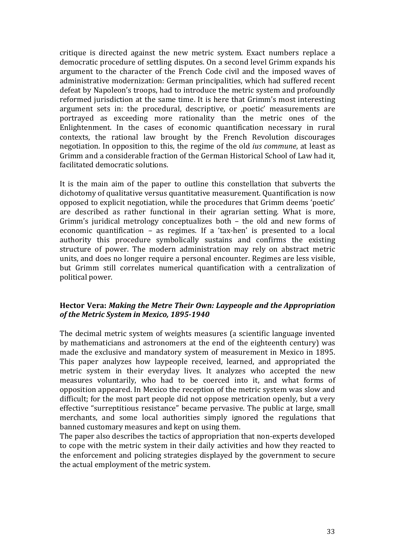critique is directed against the new metric system. Exact numbers replace a democratic procedure of settling disputes. On a second level Grimm expands his argument to the character of the French Code civil and the imposed waves of administrative modernization: German principalities, which had suffered recent defeat by Napoleon's troops, had to introduce the metric system and profoundly reformed jurisdiction at the same time. It is here that Grimm's most interesting argument sets in: the procedural, descriptive, or ,poetic' measurements are portrayed as exceeding more rationality than the metric ones of the Enlightenment. In the cases of economic quantification necessary in rural contexts, the rational law brought by the French Revolution discourages negotiation. In opposition to this, the regime of the old *ius commune*, at least as Grimm and a considerable fraction of the German Historical School of Law had it, facilitated democratic solutions.

It is the main aim of the paper to outline this constellation that subverts the dichotomy of qualitative versus quantitative measurement. Quantification is now opposed to explicit negotiation, while the procedures that Grimm deems 'poetic' are described as rather functional in their agrarian setting. What is more, Grimm's juridical metrology conceptualizes both  $-$  the old and new forms of economic quantification  $-$  as regimes. If a 'tax-hen' is presented to a local authority this procedure symbolically sustains and confirms the existing structure of power. The modern administration may rely on abstract metric units, and does no longer require a personal encounter. Regimes are less visible, but Grimm still correlates numerical quantification with a centralization of political power.

### Hector Vera: Making the Metre Their Own: Laypeople and the Appropriation of the Metric System in Mexico, 1895-1940

The decimal metric system of weights measures (a scientific language invented by mathematicians and astronomers at the end of the eighteenth century) was made the exclusive and mandatory system of measurement in Mexico in 1895. This paper analyzes how laypeople received, learned, and appropriated the metric system in their everyday lives. It analyzes who accepted the new measures voluntarily, who had to be coerced into it, and what forms of opposition appeared. In Mexico the reception of the metric system was slow and difficult; for the most part people did not oppose metrication openly, but a very effective "surreptitious resistance" became pervasive. The public at large, small merchants, and some local authorities simply ignored the regulations that banned customary measures and kept on using them.

The paper also describes the tactics of appropriation that non-experts developed to cope with the metric system in their daily activities and how they reacted to the enforcement and policing strategies displayed by the government to secure the actual employment of the metric system.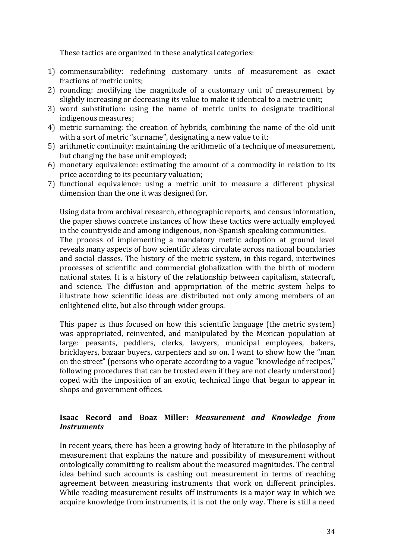These tactics are organized in these analytical categories:

- 1) commensurability: redefining customary units of measurement as exact fractions of metric units;
- 2) rounding: modifying the magnitude of a customary unit of measurement by slightly increasing or decreasing its value to make it identical to a metric unit;
- 3) word substitution: using the name of metric units to designate traditional indigenous measures;
- 4) metric surnaming: the creation of hybrids, combining the name of the old unit with a sort of metric "surname", designating a new value to it;
- 5) arithmetic continuity: maintaining the arithmetic of a technique of measurement, but changing the base unit employed;
- 6) monetary equivalence: estimating the amount of a commodity in relation to its price according to its pecuniary valuation;
- 7) functional equivalence: using a metric unit to measure a different physical dimension than the one it was designed for.

Using data from archival research, ethnographic reports, and census information, the paper shows concrete instances of how these tactics were actually employed in the countryside and among indigenous, non-Spanish speaking communities. The process of implementing a mandatory metric adoption at ground level reveals many aspects of how scientific ideas circulate across national boundaries and social classes. The history of the metric system, in this regard, intertwines processes of scientific and commercial globalization with the birth of modern national states. It is a history of the relationship between capitalism, statecraft, and science. The diffusion and appropriation of the metric system helps to illustrate how scientific ideas are distributed not only among members of an enlightened elite, but also through wider groups.

This paper is thus focused on how this scientific language (the metric system) was appropriated, reinvented, and manipulated by the Mexican population at large: peasants, peddlers, clerks, lawyers, municipal employees, bakers, bricklayers, bazaar buyers, carpenters and so on. I want to show how the "man on the street" (persons who operate according to a vague "knowledge of recipes," following procedures that can be trusted even if they are not clearly understood) coped with the imposition of an exotic, technical lingo that began to appear in shops and government offices.

### **Isaac Record and Boaz Miller:**  *Measurement and Knowledge from Instruments*

In recent years, there has been a growing body of literature in the philosophy of measurement that explains the nature and possibility of measurement without ontologically committing to realism about the measured magnitudes. The central idea behind such accounts is cashing out measurement in terms of reaching agreement between measuring instruments that work on different principles. While reading measurement results off instruments is a major way in which we acquire knowledge from instruments, it is not the only way. There is still a need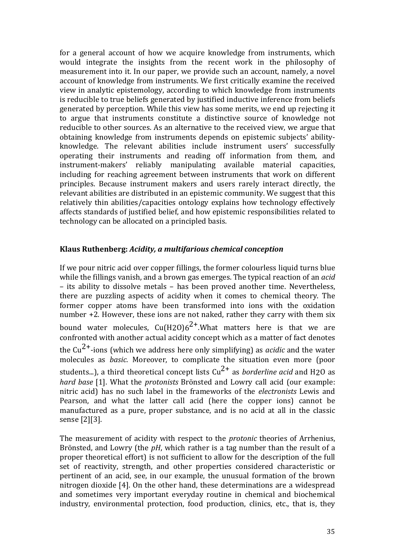for a general account of how we acquire knowledge from instruments, which would integrate the insights from the recent work in the philosophy of measurement into it. In our paper, we provide such an account, namely, a novel account of knowledge from instruments. We first critically examine the received view in analytic epistemology, according to which knowledge from instruments is reducible to true beliefs generated by justified inductive inference from beliefs generated by perception. While this view has some merits, we end up rejecting it to argue that instruments constitute a distinctive source of knowledge not reducible to other sources. As an alternative to the received view, we argue that obtaining knowledge from instruments depends on epistemic subjects' abilityknowledge. The relevant abilities include instrument users' successfully operating their instruments and reading off information from them, and instrument-makers' reliably manipulating available material capacities, including for reaching agreement between instruments that work on different principles. Because instrument makers and users rarely interact directly, the relevant abilities are distributed in an epistemic community. We suggest that this relatively thin abilities/capacities ontology explains how technology effectively affects standards of justified belief, and how epistemic responsibilities related to technology can be allocated on a principled basis.

### **Klaus Ruthenberg:** *Acidity, a multifarious chemical conception*

If we pour nitric acid over copper fillings, the former colourless liquid turns blue while the fillings vanish, and a brown gas emerges. The typical reaction of an *acid* – its ability to dissolve metals – has been proved another time. Nevertheless, there are puzzling aspects of acidity when it comes to chemical theory. The former copper atoms have been transformed into ions with the oxidation number  $+2$ . However, these ions are not naked, rather they carry with them six bound water molecules,  $Cu(H2O)6^{2+}$ .What matters here is that we are confronted with another actual acidity concept which as a matter of fact denotes the  $Cu^{2+}$ -ions (which we address here only simplifying) as *acidic* and the water molecules as *basic*. Moreover, to complicate the situation even more (poor students...), a third theoretical concept lists  $Cu^{2+}$  as *borderline acid* and H<sub>2</sub>O as *hard base* [1]. What the *protonists* Brönsted and Lowry call acid (our example: nitric acid) has no such label in the frameworks of the *electronists* Lewis and Pearson, and what the latter call acid (here the copper ions) cannot be manufactured as a pure, proper substance, and is no acid at all in the classic sense [2][3].

The measurement of acidity with respect to the *protonic* theories of Arrhenius, Brönsted, and Lowry (the *pH*, which rather is a tag number than the result of a proper theoretical effort) is not sufficient to allow for the description of the full set of reactivity, strength, and other properties considered characteristic or pertinent of an acid, see, in our example, the unusual formation of the brown nitrogen dioxide [4]. On the other hand, these determinations are a widespread and sometimes very important everyday routine in chemical and biochemical industry, environmental protection, food production, clinics, etc., that is, they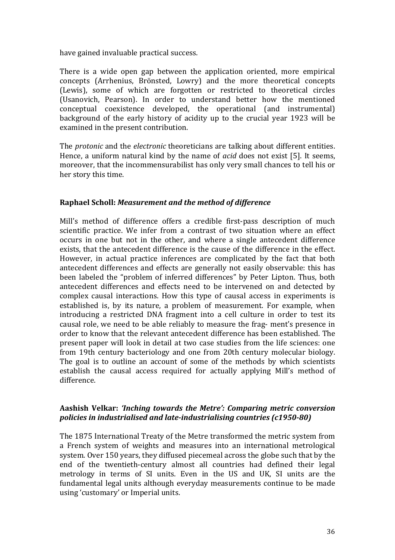have gained invaluable practical success.

There is a wide open gap between the application oriented, more empirical concepts (Arrhenius, Brönsted, Lowry) and the more theoretical concepts (Lewis), some of which are forgotten or restricted to theoretical circles (Usanovich, Pearson). In order to understand better how the mentioned conceptual coexistence developed, the operational (and instrumental) background of the early history of acidity up to the crucial year 1923 will be examined in the present contribution.

The *protonic* and the *electronic* theoreticians are talking about different entities. Hence, a uniform natural kind by the name of *acid* does not exist [5]. It seems, moreover, that the incommensurabilist has only very small chances to tell his or her story this time.

# **Raphael Scholl:** *Measurement and the method of difference*

Mill's method of difference offers a credible first-pass description of much scientific practice. We infer from a contrast of two situation where an effect occurs in one but not in the other, and where a single antecedent difference exists, that the antecedent difference is the cause of the difference in the effect. However, in actual practice inferences are complicated by the fact that both antecedent differences and effects are generally not easily observable: this has been labeled the "problem of inferred differences" by Peter Lipton. Thus, both antecedent differences and effects need to be intervened on and detected by complex causal interactions. How this type of causal access in experiments is established is, by its nature, a problem of measurement. For example, when introducing a restricted DNA fragment into a cell culture in order to test its causal role, we need to be able reliably to measure the frag- ment's presence in order to know that the relevant antecedent difference has been established. The present paper will look in detail at two case studies from the life sciences: one from 19th century bacteriology and one from 20th century molecular biology. The goal is to outline an account of some of the methods by which scientists establish the causal access required for actually applying Mill's method of difference.

# Aashish Velkar: *'Inching towards the Metre': Comparing metric conversion policies in industrialised and late-industrialising countries (c1950-80)*

The 1875 International Treaty of the Metre transformed the metric system from a French system of weights and measures into an international metrological system. Over 150 years, they diffused piecemeal across the globe such that by the end of the twentieth-century almost all countries had defined their legal metrology in terms of SI units. Even in the US and UK, SI units are the fundamental legal units although everyday measurements continue to be made using 'customary' or Imperial units.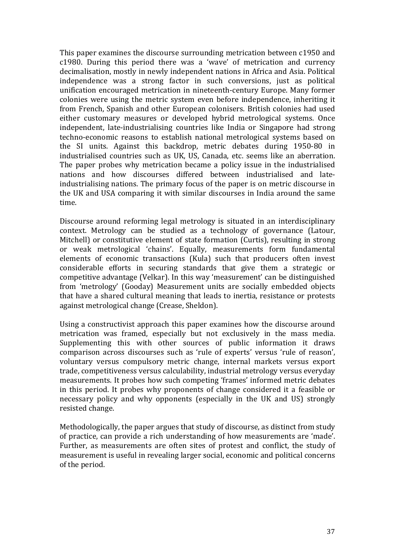This paper examines the discourse surrounding metrication between c1950 and  $c1980$ . During this period there was a 'wave' of metrication and currency decimalisation, mostly in newly independent nations in Africa and Asia. Political independence was a strong factor in such conversions, just as political unification encouraged metrication in nineteenth-century Europe. Many former colonies were using the metric system even before independence, inheriting it from French, Spanish and other European colonisers. British colonies had used either customary measures or developed hybrid metrological systems. Once independent, late-industrialising countries like India or Singapore had strong techno-economic reasons to establish national metrological systems based on the SI units. Against this backdrop, metric debates during 1950-80 in industrialised countries such as UK, US, Canada, etc. seems like an aberration. The paper probes why metrication became a policy issue in the industrialised nations and how discourses differed between industrialised and lateindustrialising nations. The primary focus of the paper is on metric discourse in the UK and USA comparing it with similar discourses in India around the same time.

Discourse around reforming legal metrology is situated in an interdisciplinary context. Metrology can be studied as a technology of governance (Latour, Mitchell) or constitutive element of state formation (Curtis), resulting in strong or weak metrological 'chains'. Equally, measurements form fundamental elements of economic transactions (Kula) such that producers often invest considerable efforts in securing standards that give them a strategic or competitive advantage (Velkar). In this way 'measurement' can be distinguished from 'metrology' (Gooday) Measurement units are socially embedded objects that have a shared cultural meaning that leads to inertia, resistance or protests against metrological change (Crease, Sheldon).

Using a constructivist approach this paper examines how the discourse around metrication was framed, especially but not exclusively in the mass media. Supplementing this with other sources of public information it draws comparison across discourses such as 'rule of experts' versus 'rule of reason', voluntary versus compulsory metric change, internal markets versus export trade, competitiveness versus calculability, industrial metrology versus everyday measurements. It probes how such competing 'frames' informed metric debates in this period. It probes why proponents of change considered it a feasible or necessary policy and why opponents (especially in the UK and US) strongly resisted change.

Methodologically, the paper argues that study of discourse, as distinct from study of practice, can provide a rich understanding of how measurements are 'made'. Further, as measurements are often sites of protest and conflict, the study of measurement is useful in revealing larger social, economic and political concerns of the period.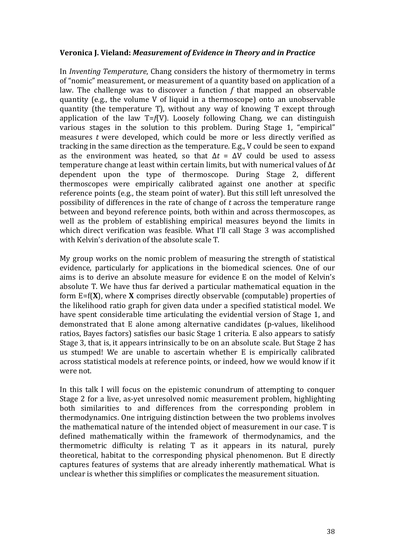### **Veronica J. Vieland: Measurement of Evidence in Theory and in Practice**

In *Inventing Temperature*, Chang considers the history of thermometry in terms of "nomic" measurement, or measurement of a quantity based on application of a law. The challenge was to discover a function f that mapped an observable quantity (e.g., the volume V of liquid in a thermoscope) onto an unobservable quantity (the temperature  $T$ ), without any way of knowing  $T$  except through application of the law  $T=f(V)$ . Loosely following Chang, we can distinguish various stages in the solution to this problem. During Stage 1, "empirical" measures *t* were developed, which could be more or less directly verified as tracking in the same direction as the temperature. E.g., V could be seen to expand as the environment was heated, so that  $\Delta t = \Delta V$  could be used to assess temperature change at least within certain limits, but with numerical values of  $\Delta t$ dependent upon the type of thermoscope. During Stage 2, different thermoscopes were empirically calibrated against one another at specific reference points (e.g., the steam point of water). But this still left unresolved the possibility of differences in the rate of change of t across the temperature range between and beyond reference points, both within and across thermoscopes, as well as the problem of establishing empirical measures beyond the limits in which direct verification was feasible. What I'll call Stage 3 was accomplished with Kelvin's derivation of the absolute scale T.

My group works on the nomic problem of measuring the strength of statistical evidence, particularly for applications in the biomedical sciences. One of our aims is to derive an absolute measure for evidence E on the model of Kelvin's absolute T. We have thus far derived a particular mathematical equation in the form E=f(**X**), where **X** comprises directly observable (computable) properties of the likelihood ratio graph for given data under a specified statistical model. We have spent considerable time articulating the evidential version of Stage 1, and demonstrated that E alone among alternative candidates (p-values, likelihood ratios, Bayes factors) satisfies our basic Stage 1 criteria. E also appears to satisfy Stage 3, that is, it appears intrinsically to be on an absolute scale. But Stage 2 has us stumped! We are unable to ascertain whether E is empirically calibrated across statistical models at reference points, or indeed, how we would know if it were not.

In this talk I will focus on the epistemic conundrum of attempting to conquer Stage 2 for a live, as-yet unresolved nomic measurement problem, highlighting both similarities to and differences from the corresponding problem in thermodynamics. One intriguing distinction between the two problems involves the mathematical nature of the intended object of measurement in our case. T is defined mathematically within the framework of thermodynamics, and the thermometric difficulty is relating T as it appears in its natural, purely theoretical, habitat to the corresponding physical phenomenon. But E directly captures features of systems that are already inherently mathematical. What is unclear is whether this simplifies or complicates the measurement situation.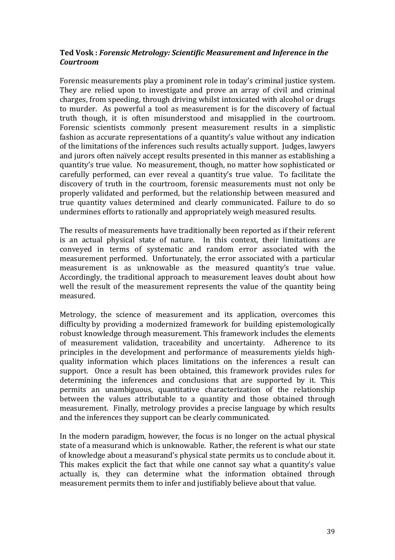# Ted Vosk : Forensic Metrology: Scientific Measurement and Inference in the *Courtroom*

Forensic measurements play a prominent role in today's criminal justice system. They are relied upon to investigate and prove an array of civil and criminal charges, from speeding, through driving whilst intoxicated with alcohol or drugs to murder. As powerful a tool as measurement is for the discovery of factual truth though, it is often misunderstood and misapplied in the courtroom. Forensic scientists commonly present measurement results in a simplistic fashion as accurate representations of a quantity's value without any indication of the limitations of the inferences such results actually support. Judges, lawyers and jurors often naïvely accept results presented in this manner as establishing a quantity's true value. No measurement, though, no matter how sophisticated or carefully performed, can ever reveal a quantity's true value. To facilitate the discovery of truth in the courtroom, forensic measurements must not only be properly validated and performed, but the relationship between measured and true quantity values determined and clearly communicated. Failure to do so undermines efforts to rationally and appropriately weigh measured results.

The results of measurements have traditionally been reported as if their referent is an actual physical state of nature. In this context, their limitations are conveyed in terms of systematic and random error associated with the measurement performed. Unfortunately, the error associated with a particular measurement is as unknowable as the measured quantity's true value. Accordingly, the traditional approach to measurement leaves doubt about how well the result of the measurement represents the value of the quantity being measured. 

Metrology, the science of measurement and its application, overcomes this difficulty by providing a modernized framework for building epistemologically robust knowledge through measurement. This framework includes the elements of measurement validation, traceability and uncertainty. Adherence to its principles in the development and performance of measurements yields highquality information which places limitations on the inferences a result can support. Once a result has been obtained, this framework provides rules for determining the inferences and conclusions that are supported by it. This permits an unambiguous, quantitative characterization of the relationship between the values attributable to a quantity and those obtained through measurement. Finally, metrology provides a precise language by which results and the inferences they support can be clearly communicated.

In the modern paradigm, however, the focus is no longer on the actual physical state of a measurand which is unknowable. Rather, the referent is what our state of knowledge about a measurand's physical state permits us to conclude about it. This makes explicit the fact that while one cannot say what a quantity's value actually is, they can determine what the information obtained through measurement permits them to infer and justifiably believe about that value.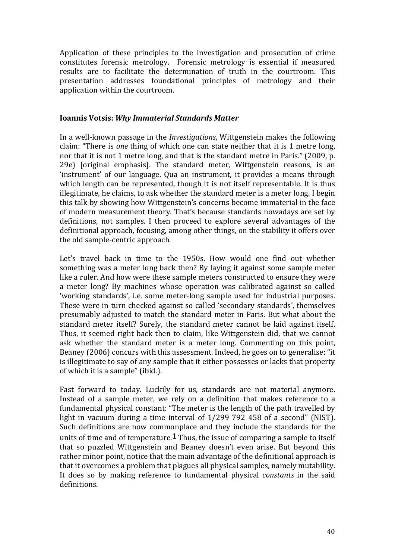Application of these principles to the investigation and prosecution of crime constitutes forensic metrology. Forensic metrology is essential if measured results are to facilitate the determination of truth in the courtroom. This presentation addresses foundational principles of metrology and their application within the courtroom.

### **Ioannis Votsis:** *Why Immaterial Standards Matter*

In a well-known passage in the *Investigations*, Wittgenstein makes the following claim: "There is *one* thing of which one can state neither that it is 1 metre long, nor that it is not 1 metre long, and that is the standard metre in Paris." (2009, p. 29e) [original emphasis]. The standard meter, Wittgenstein reasons, is an 'instrument' of our language. Oua an instrument, it provides a means through which length can be represented, though it is not itself representable. It is thus illegitimate, he claims, to ask whether the standard meter is a meter long. I begin this talk by showing how Wittgenstein's concerns become immaterial in the face of modern measurement theory. That's because standards nowadays are set by definitions, not samples. I then proceed to explore several advantages of the definitional approach, focusing, among other things, on the stability it offers over the old sample-centric approach.

Let's travel back in time to the 1950s. How would one find out whether something was a meter long back then? By laying it against some sample meter like a ruler. And how were these sample meters constructed to ensure they were a meter long? By machines whose operation was calibrated against so called 'working standards', i.e. some meter-long sample used for industrial purposes. These were in turn checked against so called 'secondary standards', themselves presumably adjusted to match the standard meter in Paris. But what about the standard meter itself? Surely, the standard meter cannot be laid against itself. Thus, it seemed right back then to claim, like Wittgenstein did, that we cannot ask whether the standard meter is a meter long. Commenting on this point, Beaney (2006) concurs with this assessment. Indeed, he goes on to generalise: "it is illegitimate to say of any sample that it either possesses or lacks that property of which it is a sample" (ibid.).

Fast forward to today. Luckily for us, standards are not material anymore. Instead of a sample meter, we rely on a definition that makes reference to a fundamental physical constant: "The meter is the length of the path travelled by light in vacuum during a time interval of  $1/299$  792 458 of a second" (NIST). Such definitions are now commonplace and they include the standards for the units of time and of temperature.<sup>1</sup> Thus, the issue of comparing a sample to itself that so puzzled Wittgenstein and Beaney doesn't even arise. But beyond this rather minor point, notice that the main advantage of the definitional approach is that it overcomes a problem that plagues all physical samples, namely mutability. It does so by making reference to fundamental physical *constants* in the said definitions.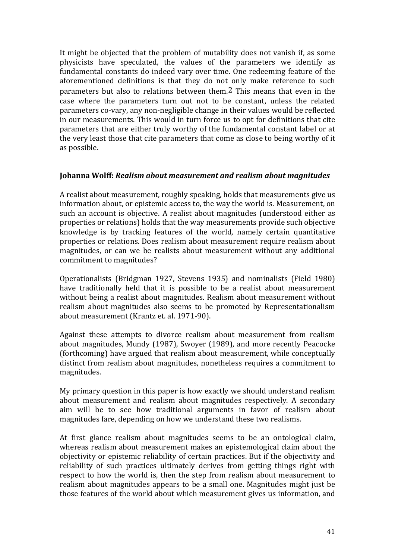It might be objected that the problem of mutability does not vanish if, as some physicists have speculated, the values of the parameters we identify as fundamental constants do indeed vary over time. One redeeming feature of the aforementioned definitions is that they do not only make reference to such parameters but also to relations between them.<sup>2</sup> This means that even in the case where the parameters turn out not to be constant, unless the related parameters co-vary, any non-negligible change in their values would be reflected in our measurements. This would in turn force us to opt for definitions that cite parameters that are either truly worthy of the fundamental constant label or at the very least those that cite parameters that come as close to being worthy of it as possible.

# **Johanna Wolff: Realism about measurement and realism about magnitudes**

A realist about measurement, roughly speaking, holds that measurements give us information about, or epistemic access to, the way the world is. Measurement, on such an account is objective. A realist about magnitudes (understood either as properties or relations) holds that the way measurements provide such objective knowledge is by tracking features of the world, namely certain quantitative properties or relations. Does realism about measurement require realism about magnitudes, or can we be realists about measurement without any additional commitment to magnitudes?

Operationalists (Bridgman 1927, Stevens 1935) and nominalists (Field 1980) have traditionally held that it is possible to be a realist about measurement without being a realist about magnitudes. Realism about measurement without realism about magnitudes also seems to be promoted by Representationalism about measurement (Krantz et. al. 1971-90).

Against these attempts to divorce realism about measurement from realism about magnitudes, Mundy (1987), Swoyer (1989), and more recently Peacocke (forthcoming) have argued that realism about measurement, while conceptually distinct from realism about magnitudes, nonetheless requires a commitment to magnitudes. 

My primary question in this paper is how exactly we should understand realism about measurement and realism about magnitudes respectively. A secondary aim will be to see how traditional arguments in favor of realism about magnitudes fare, depending on how we understand these two realisms.

At first glance realism about magnitudes seems to be an ontological claim, whereas realism about measurement makes an epistemological claim about the objectivity or epistemic reliability of certain practices. But if the objectivity and reliability of such practices ultimately derives from getting things right with respect to how the world is, then the step from realism about measurement to realism about magnitudes appears to be a small one. Magnitudes might just be those features of the world about which measurement gives us information, and